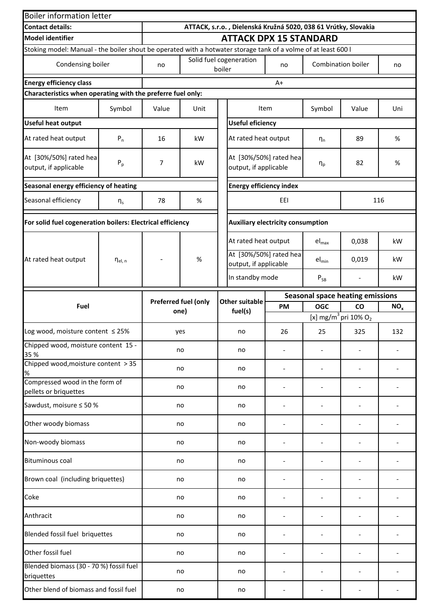| <b>Boiler information letter</b>                                                                               |                |       |                      |                                          |                                                                |           |            |                                              |                 |
|----------------------------------------------------------------------------------------------------------------|----------------|-------|----------------------|------------------------------------------|----------------------------------------------------------------|-----------|------------|----------------------------------------------|-----------------|
| <b>Contact details:</b>                                                                                        |                |       |                      |                                          | ATTACK, s.r.o., Dielenská Kružná 5020, 038 61 Vrútky, Slovakia |           |            |                                              |                 |
| <b>Model identifier</b>                                                                                        |                |       |                      |                                          | <b>ATTACK DPX 15 STANDARD</b>                                  |           |            |                                              |                 |
| Stoking model: Manual - the boiler shout be operated with a hotwater storage tank of a volme of at least 600 l |                |       |                      |                                          |                                                                |           |            |                                              |                 |
| Condensing boiler                                                                                              |                | no    |                      | boiler                                   | Solid fuel cogeneration                                        | no        |            | Combination boiler                           | no              |
| <b>Energy efficiency class</b>                                                                                 |                |       |                      |                                          |                                                                | $A+$      |            |                                              |                 |
| Characteristics when operating with the preferre fuel only:                                                    |                |       |                      |                                          |                                                                |           |            |                                              |                 |
| Item                                                                                                           | Symbol         | Value | Unit                 |                                          |                                                                | Item      | Symbol     | Value                                        | Uni             |
| <b>Useful heat output</b>                                                                                      |                |       |                      |                                          | <b>Useful eficiency</b>                                        |           |            |                                              |                 |
| At rated heat output                                                                                           | $P_n$          | 16    | kW                   |                                          | At rated heat output                                           |           | $\eta_n$   | 89                                           | %               |
| At [30%/50%] rated hea<br>output, if applicable                                                                | $P_p$          | 7     | kW                   |                                          | At [30%/50%] rated hea<br>output, if applicable                |           | $\eta_p$   | 82                                           | %               |
| Seasonal energy efficiency of heating                                                                          |                |       |                      |                                          | <b>Energy efficiency index</b>                                 |           |            |                                              |                 |
| Seasonal efficiency                                                                                            | $\eta_{\rm s}$ | 78    | $\%$                 | EEI<br>116                               |                                                                |           |            |                                              |                 |
| For solid fuel cogeneration boilers: Electrical efficiency                                                     |                |       |                      | <b>Auxiliary electricity consumption</b> |                                                                |           |            |                                              |                 |
|                                                                                                                |                |       |                      |                                          | At rated heat output                                           |           | $el_{max}$ | 0,038                                        | kW              |
| At rated heat output                                                                                           | $\eta_{el. n}$ |       | %                    |                                          | At [30%/50%] rated hea<br>output, if applicable                |           | $el_{min}$ | 0,019                                        | kW              |
|                                                                                                                |                |       |                      |                                          | In standby mode                                                |           | $P_{SB}$   |                                              | kW              |
|                                                                                                                |                |       | Preferred fuel (only |                                          | Other suitable                                                 |           |            | <b>Seasonal space heating emissions</b>      |                 |
| Fuel                                                                                                           |                | one)  |                      |                                          | fuel(s)                                                        | <b>PM</b> | <b>OGC</b> | <b>CO</b>                                    | NO <sub>x</sub> |
|                                                                                                                |                |       |                      |                                          |                                                                |           |            | [x] mg/m <sup>3</sup> pri 10% O <sub>2</sub> |                 |
| Log wood, moisture content $\leq$ 25%                                                                          |                |       | yes                  |                                          | no                                                             | 26        | 25         | 325                                          | 132             |
| Chipped wood, moisture content 15 -<br>35 %                                                                    |                | no    |                      |                                          | no                                                             |           |            |                                              |                 |
| Chipped wood, moisture content > 35<br>$\%$                                                                    |                | no    |                      |                                          | no                                                             |           |            |                                              |                 |
| Compressed wood in the form of<br>pellets or briquettes                                                        |                |       | no                   |                                          | no                                                             |           |            |                                              |                 |
| Sawdust, moisure ≤ 50 %                                                                                        |                |       | no                   |                                          | no                                                             |           |            |                                              |                 |
| Other woody biomass                                                                                            |                |       | no                   |                                          | no                                                             |           |            |                                              |                 |
| Non-woody biomass                                                                                              |                |       | no                   |                                          | no                                                             |           |            |                                              |                 |
| <b>Bituminous coal</b>                                                                                         |                |       | no                   |                                          | no                                                             |           |            |                                              |                 |
| Brown coal (including briquettes)                                                                              |                |       | no                   |                                          | no                                                             |           |            |                                              |                 |
| Coke                                                                                                           |                |       | no                   |                                          | no                                                             |           |            |                                              |                 |
| Anthracit                                                                                                      |                |       | no                   |                                          | no                                                             |           |            |                                              |                 |
| Blended fossil fuel briquettes                                                                                 |                |       | no                   |                                          | no                                                             |           |            |                                              |                 |
| Other fossil fuel                                                                                              |                |       | no                   |                                          | no                                                             |           |            |                                              |                 |
| Blended biomass (30 - 70 %) fossil fuel<br>briquettes                                                          |                |       | no                   |                                          | no                                                             |           |            |                                              |                 |
| Other blend of biomass and fossil fuel                                                                         |                | no    |                      |                                          | no                                                             |           |            |                                              |                 |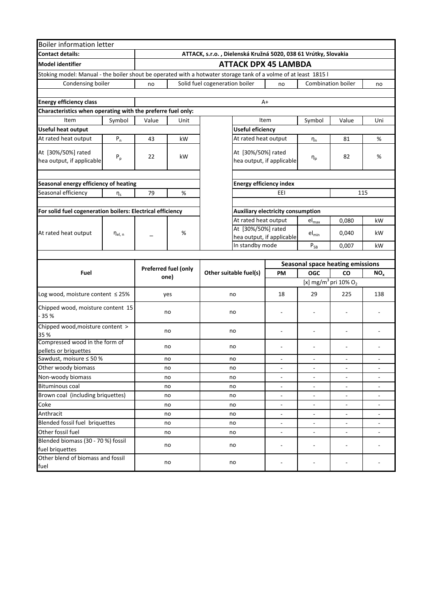| <b>Boiler information letter</b>                                                                                |                       |       |                      |                                                                |                                |                                                 |                            |                                              |                          |  |
|-----------------------------------------------------------------------------------------------------------------|-----------------------|-------|----------------------|----------------------------------------------------------------|--------------------------------|-------------------------------------------------|----------------------------|----------------------------------------------|--------------------------|--|
| <b>Contact details:</b>                                                                                         |                       |       |                      | ATTACK, s.r.o., Dielenská Kružná 5020, 038 61 Vrútky, Slovakia |                                |                                                 |                            |                                              |                          |  |
| <b>Model identifier</b>                                                                                         |                       |       |                      |                                                                |                                | <b>ATTACK DPX 45 LAMBDA</b>                     |                            |                                              |                          |  |
| Stoking model: Manual - the boiler shout be operated with a hotwater storage tank of a volme of at least 1815 l |                       |       |                      |                                                                |                                |                                                 |                            |                                              |                          |  |
| Condensing boiler                                                                                               |                       | no    |                      | Solid fuel cogeneration boiler                                 |                                | no                                              |                            | Combination boiler                           | no                       |  |
|                                                                                                                 |                       |       |                      |                                                                |                                |                                                 |                            |                                              |                          |  |
| <b>Energy efficiency class</b>                                                                                  |                       |       |                      |                                                                |                                | A+                                              |                            |                                              |                          |  |
| Characteristics when operating with the preferre fuel only:                                                     |                       |       |                      |                                                                |                                |                                                 |                            |                                              |                          |  |
| Item                                                                                                            | Symbol                | Value | Unit                 |                                                                |                                | Item                                            | Symbol                     | Value                                        | Uni                      |  |
| <b>Useful heat output</b>                                                                                       |                       |       |                      |                                                                | <b>Useful eficiency</b>        |                                                 |                            |                                              |                          |  |
| At rated heat output                                                                                            | $P_n$                 | 43    | kW                   |                                                                |                                | At rated heat output                            | $\eta_n$                   | 81                                           | $\%$                     |  |
| At [30%/50%] rated<br>hea output, if applicable                                                                 | $P_p$                 | 22    | kW                   |                                                                |                                | At [30%/50%] rated<br>hea output, if applicable | $\eta_{\text{p}}$          | 82                                           | $\%$                     |  |
|                                                                                                                 |                       |       |                      |                                                                |                                |                                                 |                            |                                              |                          |  |
| Seasonal energy efficiency of heating<br>Seasonal efficiency                                                    |                       |       |                      |                                                                | <b>Energy efficiency index</b> |                                                 |                            |                                              |                          |  |
|                                                                                                                 | $\eta_{\rm s}$        | 79    | $\%$                 |                                                                | EEI<br>115                     |                                                 |                            |                                              |                          |  |
| For solid fuel cogeneration boilers: Electrical efficiency                                                      |                       |       |                      | <b>Auxiliary electricity consumption</b>                       |                                |                                                 |                            |                                              |                          |  |
|                                                                                                                 |                       |       |                      |                                                                |                                | At rated heat output                            | $el_{max}$                 | 0,080                                        | kW                       |  |
|                                                                                                                 |                       |       |                      |                                                                |                                | At [30%/50%] rated                              |                            |                                              |                          |  |
| At rated heat output                                                                                            | $\eta_{\text{el, n}}$ |       | %                    |                                                                | hea output, if applicable      |                                                 | $el_{min}$                 | 0,040                                        | kW                       |  |
|                                                                                                                 |                       |       |                      |                                                                | In standby mode                |                                                 | $\mathsf{P}_{\mathsf{SB}}$ | 0,007                                        | kW                       |  |
|                                                                                                                 |                       |       |                      |                                                                |                                |                                                 |                            |                                              |                          |  |
|                                                                                                                 |                       |       | Preferred fuel (only |                                                                |                                |                                                 |                            | Seasonal space heating emissions             |                          |  |
| Fuel                                                                                                            |                       |       | one)                 | Other suitable fuel(s)                                         |                                | PM                                              | <b>OGC</b>                 | <b>CO</b>                                    | NO <sub>x</sub>          |  |
|                                                                                                                 |                       |       |                      |                                                                |                                |                                                 |                            | [x] mg/m <sup>3</sup> pri 10% O <sub>2</sub> |                          |  |
| Log wood, moisture content $\leq$ 25%                                                                           |                       |       | yes                  | no                                                             |                                | 18                                              | 29                         | 225                                          | 138                      |  |
| Chipped wood, moisture content 15<br>35 %                                                                       |                       |       | no                   | no                                                             |                                |                                                 |                            |                                              |                          |  |
| Chipped wood, moisture content ><br>35 %                                                                        |                       |       | no                   | no                                                             |                                | ÷,                                              |                            | $\overline{a}$                               |                          |  |
| Compressed wood in the form of<br>pellets or briquettes                                                         |                       |       | no                   | no                                                             |                                | L,                                              |                            |                                              |                          |  |
| Sawdust, moisure ≤ 50 %                                                                                         |                       |       | no                   | no                                                             |                                |                                                 | ۰                          |                                              |                          |  |
| Other woody biomass                                                                                             |                       |       | no                   | no                                                             |                                |                                                 |                            | ۰                                            |                          |  |
| Non-woody biomass                                                                                               |                       |       | no                   | no                                                             |                                | ÷                                               |                            |                                              |                          |  |
| <b>Bituminous coal</b>                                                                                          |                       |       | no                   | no                                                             |                                | $\overline{\phantom{0}}$                        |                            | $\overline{\phantom{a}}$                     |                          |  |
| Brown coal (including briquettes)                                                                               |                       |       | no                   | no                                                             |                                | $\blacksquare$                                  | $\overline{\phantom{a}}$   | $\overline{\phantom{a}}$                     | $\overline{\phantom{a}}$ |  |
| Coke                                                                                                            |                       |       | no                   | no                                                             |                                | $\overline{\phantom{a}}$                        | $\overline{\phantom{a}}$   | $\blacksquare$                               | $\overline{\phantom{a}}$ |  |
| Anthracit                                                                                                       |                       |       | no                   | no                                                             |                                | $\overline{\phantom{0}}$                        | $\overline{\phantom{a}}$   | $\qquad \qquad \blacksquare$                 | $\overline{\phantom{a}}$ |  |
| Blended fossil fuel briquettes                                                                                  | no                    |       |                      | no                                                             |                                | $\overline{\phantom{0}}$                        |                            | $\blacksquare$                               |                          |  |
| Other fossil fuel<br>no                                                                                         |                       |       | no                   |                                                                | $\overline{\phantom{0}}$       |                                                 | $\blacksquare$             |                                              |                          |  |
| Blended biomass (30 - 70 %) fossil<br>no<br>fuel briquettes                                                     |                       |       | no                   |                                                                | ÷,                             |                                                 | $\overline{a}$             |                                              |                          |  |
| Other blend of biomass and fossil<br>fuel                                                                       |                       |       | no                   | no                                                             |                                |                                                 | $\overline{a}$             |                                              |                          |  |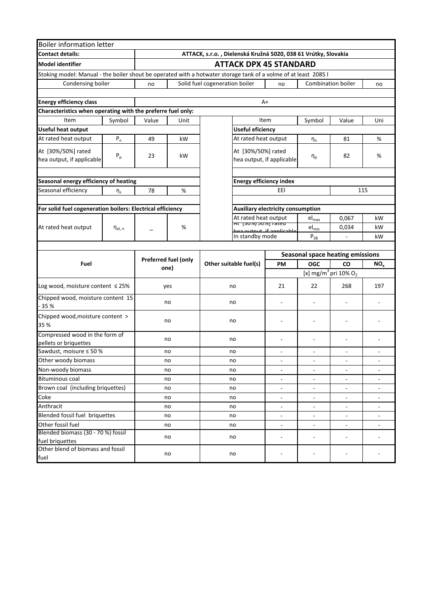| <b>Boiler information letter</b>                                                                                |                |                              |                                                                |                                |                                                                              |                          |                            |                                              |                          |  |  |
|-----------------------------------------------------------------------------------------------------------------|----------------|------------------------------|----------------------------------------------------------------|--------------------------------|------------------------------------------------------------------------------|--------------------------|----------------------------|----------------------------------------------|--------------------------|--|--|
| <b>Contact details:</b>                                                                                         |                |                              | ATTACK, s.r.o., Dielenská Kružná 5020, 038 61 Vrútky, Slovakia |                                |                                                                              |                          |                            |                                              |                          |  |  |
| <b>Model identifier</b>                                                                                         |                |                              |                                                                | <b>ATTACK DPX 45 STANDARD</b>  |                                                                              |                          |                            |                                              |                          |  |  |
| Stoking model: Manual - the boiler shout be operated with a hotwater storage tank of a volme of at least 2085 l |                |                              |                                                                |                                |                                                                              |                          |                            |                                              |                          |  |  |
| Condensing boiler                                                                                               |                | no                           |                                                                | Solid fuel cogeneration boiler |                                                                              | no                       |                            | <b>Combination boiler</b>                    | no                       |  |  |
|                                                                                                                 |                |                              |                                                                |                                |                                                                              |                          |                            |                                              |                          |  |  |
| <b>Energy efficiency class</b>                                                                                  |                |                              |                                                                |                                | $A+$                                                                         |                          |                            |                                              |                          |  |  |
| Characteristics when operating with the preferre fuel only:                                                     |                |                              |                                                                |                                |                                                                              |                          |                            |                                              |                          |  |  |
| Item                                                                                                            | Symbol         | Value                        | Unit                                                           |                                |                                                                              | Item                     | Symbol                     | Value                                        | Uni                      |  |  |
| <b>Useful heat output</b>                                                                                       |                |                              |                                                                |                                | <b>Useful eficiency</b>                                                      |                          |                            |                                              |                          |  |  |
| At rated heat output                                                                                            | $P_n$          | 49                           | kW                                                             |                                |                                                                              | At rated heat output     | $\eta_n$                   | 81                                           | %                        |  |  |
| At [30%/50%] rated<br>hea output, if applicable                                                                 | $P_p$          | 23                           | kW                                                             |                                | At [30%/50%] rated<br>hea output, if applicable                              |                          |                            | 82                                           | %                        |  |  |
|                                                                                                                 |                |                              |                                                                |                                |                                                                              |                          |                            |                                              |                          |  |  |
| Seasonal energy efficiency of heating                                                                           |                |                              |                                                                |                                | <b>Energy efficiency index</b>                                               |                          |                            |                                              |                          |  |  |
| Seasonal efficiency                                                                                             | $\eta_s$       | 78                           | %                                                              |                                | EEI<br>115                                                                   |                          |                            |                                              |                          |  |  |
|                                                                                                                 |                |                              |                                                                |                                |                                                                              |                          |                            |                                              |                          |  |  |
| For solid fuel cogeneration boilers: Electrical efficiency                                                      |                |                              |                                                                |                                | Auxiliary electricity consumption                                            |                          |                            |                                              |                          |  |  |
|                                                                                                                 |                |                              |                                                                |                                | At rated heat output<br><del>וס, טכן סאטכן אז אז</del><br>thut if annlicable |                          | $el_{max}$                 | 0,067                                        | kW                       |  |  |
| At rated heat output                                                                                            | $\eta_{el, n}$ |                              | %                                                              |                                |                                                                              |                          | $el_{min}$                 | 0,034                                        | kW                       |  |  |
|                                                                                                                 |                |                              |                                                                | In standby mode                |                                                                              |                          | $\mathsf{P}_{\mathsf{SB}}$ |                                              | kW                       |  |  |
|                                                                                                                 |                |                              |                                                                |                                |                                                                              |                          |                            |                                              |                          |  |  |
|                                                                                                                 |                |                              |                                                                |                                |                                                                              |                          |                            | <b>Seasonal space heating emissions</b>      |                          |  |  |
| Fuel                                                                                                            |                | Preferred fuel (only<br>one) |                                                                | Other suitable fuel(s)         |                                                                              | <b>PM</b>                | <b>OGC</b>                 | CO                                           | NO <sub>x</sub>          |  |  |
|                                                                                                                 |                |                              |                                                                |                                |                                                                              |                          |                            | [x] mg/m <sup>3</sup> pri 10% O <sub>2</sub> |                          |  |  |
| Log wood, moisture content $\leq$ 25%                                                                           |                |                              | yes                                                            | no                             |                                                                              | 21                       | 22                         | 268                                          | 197                      |  |  |
| Chipped wood, moisture content 15<br>$-35%$                                                                     |                |                              | no                                                             | no                             |                                                                              |                          |                            |                                              |                          |  |  |
| Chipped wood, moisture content ><br>35 %                                                                        |                |                              | no                                                             | no                             |                                                                              |                          |                            |                                              |                          |  |  |
| Compressed wood in the form of                                                                                  |                |                              |                                                                |                                |                                                                              |                          |                            |                                              |                          |  |  |
| pellets or briquettes                                                                                           |                |                              | no                                                             | no                             |                                                                              | ٠                        | $\overline{a}$             | ÷                                            |                          |  |  |
| Sawdust, moisure ≤ 50 %                                                                                         |                |                              | no                                                             | no                             |                                                                              | ÷                        | $\overline{\phantom{a}}$   | ٠                                            |                          |  |  |
| Other woody biomass                                                                                             |                |                              | no                                                             | no                             |                                                                              | $\overline{\phantom{a}}$ | $\blacksquare$             | $\blacksquare$                               | ÷                        |  |  |
| Non-woody biomass                                                                                               |                |                              | no                                                             | no                             |                                                                              | $\overline{\phantom{a}}$ | $\overline{\phantom{a}}$   | $\overline{\phantom{a}}$                     | $\blacksquare$           |  |  |
| <b>Bituminous coal</b>                                                                                          |                |                              | no                                                             | no                             |                                                                              | ÷,                       | $\blacksquare$             | $\overline{\phantom{a}}$                     | $\overline{\phantom{a}}$ |  |  |
| Brown coal (including briquettes)                                                                               |                |                              | no                                                             | no                             |                                                                              | ÷,                       | $\frac{1}{2}$              | $\blacksquare$                               | ÷,                       |  |  |
| Coke                                                                                                            |                |                              | no                                                             | no                             |                                                                              | ÷.                       |                            | $\overline{a}$                               |                          |  |  |
| Anthracit                                                                                                       |                |                              | no                                                             | no                             |                                                                              | $\overline{\phantom{0}}$ |                            | $\blacksquare$                               |                          |  |  |
| Blended fossil fuel briquettes                                                                                  |                |                              | no                                                             | no                             |                                                                              | $\overline{\phantom{a}}$ | $\overline{\phantom{a}}$   | $\overline{\phantom{a}}$                     | $\blacksquare$           |  |  |
| Other fossil fuel                                                                                               |                |                              | no                                                             | no                             |                                                                              | $\overline{\phantom{0}}$ | $\overline{\phantom{a}}$   | $\overline{\phantom{a}}$                     | $\overline{\phantom{0}}$ |  |  |
| Blended biomass (30 - 70 %) fossil<br>fuel briquettes                                                           |                |                              | no                                                             | no                             |                                                                              | ÷                        | $\overline{a}$             | $\overline{\phantom{a}}$                     |                          |  |  |
| Other blend of biomass and fossil<br>fuel                                                                       |                | no                           |                                                                | no                             |                                                                              |                          | $\overline{\phantom{a}}$   |                                              |                          |  |  |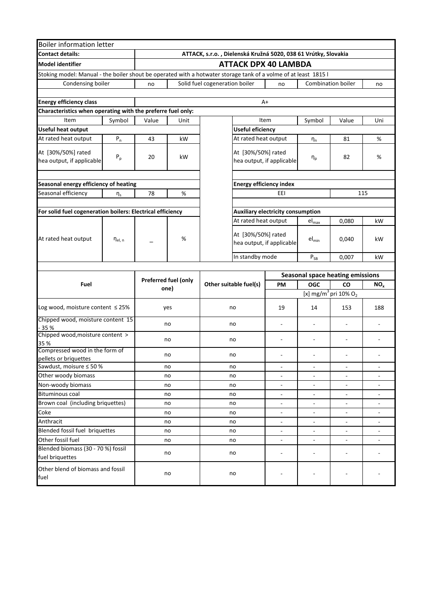| <b>Boiler information letter</b>                                                                                |                       |       |                      |                                                                |                                |                                                 |                              |                                              |                              |
|-----------------------------------------------------------------------------------------------------------------|-----------------------|-------|----------------------|----------------------------------------------------------------|--------------------------------|-------------------------------------------------|------------------------------|----------------------------------------------|------------------------------|
| <b>Contact details:</b>                                                                                         |                       |       |                      | ATTACK, s.r.o., Dielenská Kružná 5020, 038 61 Vrútky, Slovakia |                                |                                                 |                              |                                              |                              |
| <b>Model identifier</b>                                                                                         |                       |       |                      |                                                                |                                | <b>ATTACK DPX 40 LAMBDA</b>                     |                              |                                              |                              |
| Stoking model: Manual - the boiler shout be operated with a hotwater storage tank of a volme of at least 1815 l |                       |       |                      |                                                                |                                |                                                 |                              |                                              |                              |
| Condensing boiler                                                                                               |                       | no    |                      | Solid fuel cogeneration boiler                                 |                                | no                                              |                              | <b>Combination boiler</b>                    | no                           |
|                                                                                                                 |                       |       |                      |                                                                |                                |                                                 |                              |                                              |                              |
| <b>Energy efficiency class</b>                                                                                  |                       |       |                      |                                                                |                                | A+                                              |                              |                                              |                              |
| Characteristics when operating with the preferre fuel only:                                                     |                       |       |                      |                                                                |                                |                                                 |                              |                                              |                              |
| Item                                                                                                            | Symbol                | Value | Unit                 |                                                                |                                | Item                                            | Symbol                       | Value                                        | Uni                          |
| <b>Useful heat output</b>                                                                                       |                       |       |                      | <b>Useful eficiency</b>                                        |                                |                                                 |                              |                                              |                              |
| At rated heat output                                                                                            | $P_n$                 | 43    | kW                   |                                                                |                                | At rated heat output                            | $\eta_n$                     | 81                                           | $\%$                         |
| At [30%/50%] rated<br>hea output, if applicable                                                                 | $P_p$                 | 20    | kW                   |                                                                |                                | At [30%/50%] rated<br>hea output, if applicable | $\eta_p$                     | 82                                           | %                            |
| Seasonal energy efficiency of heating                                                                           |                       |       |                      |                                                                | <b>Energy efficiency index</b> |                                                 |                              |                                              |                              |
| Seasonal efficiency                                                                                             | $\eta_{\rm s}$        | 78    | $\%$                 |                                                                |                                | EEI                                             |                              | 115                                          |                              |
|                                                                                                                 |                       |       |                      |                                                                |                                |                                                 |                              |                                              |                              |
| For solid fuel cogeneration boilers: Electrical efficiency                                                      |                       |       |                      |                                                                |                                | <b>Auxiliary electricity consumption</b>        |                              |                                              |                              |
|                                                                                                                 |                       |       |                      |                                                                |                                | At rated heat output                            | $el_{max}$                   | 0,080                                        | kW                           |
| At rated heat output                                                                                            | $\eta_{\text{el, n}}$ |       | %                    |                                                                |                                | At [30%/50%] rated<br>hea output, if applicable | $el_{min}$                   | 0,040                                        | kW                           |
|                                                                                                                 |                       |       |                      | In standby mode                                                |                                |                                                 | $P_{SB}$                     | 0,007                                        | kW                           |
|                                                                                                                 |                       |       |                      |                                                                |                                |                                                 |                              |                                              |                              |
|                                                                                                                 |                       |       | Preferred fuel (only |                                                                |                                |                                                 |                              | <b>Seasonal space heating emissions</b>      |                              |
| Fuel                                                                                                            |                       |       | one)                 | Other suitable fuel(s)                                         |                                | <b>PM</b>                                       | <b>OGC</b>                   | CO                                           | NO <sub>x</sub>              |
|                                                                                                                 |                       |       |                      |                                                                |                                |                                                 |                              | [x] mg/m <sup>3</sup> pri 10% O <sub>2</sub> |                              |
| Log wood, moisture content $\leq$ 25%                                                                           |                       |       | yes                  | no                                                             |                                | 19                                              | 14                           | 153                                          | 188                          |
| Chipped wood, moisture content 15<br>35 %                                                                       |                       |       | no                   | no                                                             |                                | $\overline{\phantom{0}}$                        | $\overline{\phantom{a}}$     | $\overline{a}$                               | $\overline{\phantom{0}}$     |
| Chipped wood, moisture content ><br>35 %                                                                        |                       |       | no                   | no                                                             |                                | $\overline{\phantom{0}}$                        | $\overline{\phantom{a}}$     | $\overline{a}$                               |                              |
| Compressed wood in the form of                                                                                  |                       |       | no                   | no                                                             |                                | ÷                                               | $\overline{\phantom{m}}$     | ÷                                            |                              |
| pellets or briquettes<br>Sawdust, moisure ≤ 50 %                                                                |                       |       | no                   | no                                                             |                                |                                                 |                              |                                              |                              |
| Other woody biomass                                                                                             |                       |       | no                   | no                                                             |                                | ÷,                                              | $\frac{1}{2}$                | $\blacksquare$                               |                              |
| Non-woody biomass                                                                                               |                       |       | no                   | no                                                             |                                |                                                 |                              |                                              |                              |
| <b>Bituminous coal</b>                                                                                          |                       |       | no                   | no                                                             |                                | $\overline{\phantom{0}}$                        | $\overline{\phantom{a}}$     | $\overline{\phantom{a}}$                     |                              |
| Brown coal (including briquettes)                                                                               |                       |       | no                   | no                                                             |                                | ÷,                                              | $\frac{1}{2}$                | $\blacksquare$                               | $\overline{\phantom{0}}$     |
| Coke                                                                                                            |                       |       | no                   | no                                                             |                                | $\overline{\phantom{0}}$                        |                              | $\blacksquare$                               |                              |
| Anthracit                                                                                                       |                       |       | no                   | no                                                             |                                | $\qquad \qquad \blacksquare$                    |                              | $\qquad \qquad \blacksquare$                 |                              |
| Blended fossil fuel briquettes                                                                                  |                       |       | no                   | no                                                             |                                | $\blacksquare$                                  | $\blacksquare$               | $\blacksquare$                               | $\qquad \qquad \blacksquare$ |
| Other fossil fuel                                                                                               |                       |       | no                   | no                                                             |                                | $\blacksquare$                                  | $\blacksquare$               | $\overline{\phantom{a}}$                     | $\overline{\phantom{a}}$     |
| Blended biomass (30 - 70 %) fossil<br>fuel briquettes                                                           |                       |       | no                   | no                                                             |                                |                                                 | $\qquad \qquad \blacksquare$ |                                              |                              |
| Other blend of biomass and fossil<br>fuel                                                                       |                       |       | no                   | no                                                             |                                |                                                 |                              |                                              |                              |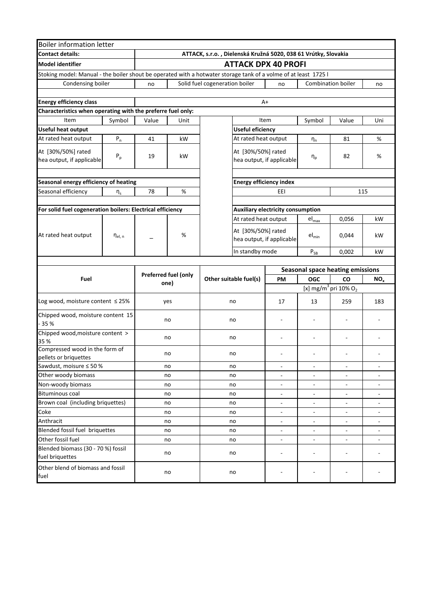| <b>Boiler information letter</b>                                                                                |                |       |                      |                                                                |                                          |                            |                                              |                          |  |
|-----------------------------------------------------------------------------------------------------------------|----------------|-------|----------------------|----------------------------------------------------------------|------------------------------------------|----------------------------|----------------------------------------------|--------------------------|--|
| <b>Contact details:</b>                                                                                         |                |       |                      | ATTACK, s.r.o., Dielenská Kružná 5020, 038 61 Vrútky, Slovakia |                                          |                            |                                              |                          |  |
| <b>Model identifier</b>                                                                                         |                |       |                      |                                                                | <b>ATTACK DPX 40 PROFI</b>               |                            |                                              |                          |  |
| Stoking model: Manual - the boiler shout be operated with a hotwater storage tank of a volme of at least 1725 l |                |       |                      |                                                                |                                          |                            |                                              |                          |  |
| Condensing boiler                                                                                               |                | no    |                      | Solid fuel cogeneration boiler                                 | no                                       |                            | <b>Combination boiler</b>                    | no                       |  |
|                                                                                                                 |                |       |                      |                                                                |                                          |                            |                                              |                          |  |
| <b>Energy efficiency class</b>                                                                                  |                |       |                      |                                                                | A+                                       |                            |                                              |                          |  |
| Characteristics when operating with the preferre fuel only:                                                     |                |       |                      |                                                                |                                          |                            |                                              |                          |  |
| Item                                                                                                            | Symbol         | Value | Unit                 |                                                                | Item<br>Symbol                           |                            |                                              |                          |  |
| <b>Useful heat output</b>                                                                                       |                |       |                      | <b>Useful eficiency</b>                                        |                                          |                            |                                              |                          |  |
| At rated heat output                                                                                            | $P_n$          | 41    | kW                   |                                                                | At rated heat output                     | $\eta_n$                   | 81                                           | $\%$                     |  |
| At [30%/50%] rated                                                                                              |                |       |                      |                                                                | At [30%/50%] rated                       |                            |                                              |                          |  |
| hea output, if applicable                                                                                       | $P_p$          | 19    | kW                   |                                                                | hea output, if applicable                | $\eta_p$                   | 82                                           | %                        |  |
|                                                                                                                 |                |       |                      |                                                                |                                          |                            |                                              |                          |  |
| Seasonal energy efficiency of heating                                                                           |                |       |                      | <b>Energy efficiency index</b>                                 |                                          |                            |                                              |                          |  |
| Seasonal efficiency                                                                                             | $\eta_s$       | 78    | $\%$                 |                                                                | EEI<br>115                               |                            |                                              |                          |  |
|                                                                                                                 |                |       |                      |                                                                |                                          |                            |                                              |                          |  |
| For solid fuel cogeneration boilers: Electrical efficiency                                                      |                |       |                      |                                                                | <b>Auxiliary electricity consumption</b> |                            |                                              |                          |  |
|                                                                                                                 |                |       |                      |                                                                | At rated heat output                     | $el_{max}$                 | 0,056                                        | kW                       |  |
|                                                                                                                 |                |       |                      |                                                                | At [30%/50%] rated                       |                            |                                              |                          |  |
| At rated heat output                                                                                            | $\eta_{el, n}$ |       | %                    |                                                                | hea output, if applicable                | $el_{min}$                 | 0,044                                        | kW                       |  |
|                                                                                                                 |                |       |                      | In standby mode                                                |                                          |                            |                                              |                          |  |
|                                                                                                                 |                |       |                      |                                                                |                                          | $\mathsf{P}_{\mathsf{SB}}$ | 0,002                                        | kW                       |  |
|                                                                                                                 |                |       |                      |                                                                |                                          |                            | <b>Seasonal space heating emissions</b>      |                          |  |
| Fuel                                                                                                            |                |       | Preferred fuel (only | Other suitable fuel(s)                                         | <b>PM</b>                                | <b>OGC</b>                 | CO                                           | NO <sub>x</sub>          |  |
|                                                                                                                 |                |       | one)                 |                                                                |                                          |                            | [x] mg/m <sup>3</sup> pri 10% O <sub>2</sub> |                          |  |
| Log wood, moisture content $\leq$ 25%                                                                           |                |       | yes                  | no                                                             | 17                                       | 13                         | 259                                          | 183                      |  |
|                                                                                                                 |                |       |                      |                                                                |                                          |                            |                                              |                          |  |
| Chipped wood, moisture content 15<br>$-35%$                                                                     |                |       | no                   | no                                                             |                                          |                            |                                              |                          |  |
| Chipped wood, moisture content >                                                                                |                |       |                      |                                                                |                                          |                            |                                              |                          |  |
| 35 %                                                                                                            |                |       | no                   | no                                                             | ÷                                        | $\overline{a}$             |                                              |                          |  |
| Compressed wood in the form of                                                                                  |                |       |                      |                                                                |                                          |                            |                                              |                          |  |
| pellets or briquettes                                                                                           |                |       | no                   | no                                                             |                                          |                            |                                              |                          |  |
| Sawdust, moisure ≤ 50 %                                                                                         |                |       | no                   | no                                                             |                                          |                            |                                              |                          |  |
| Other woody biomass                                                                                             |                |       | no                   | no                                                             |                                          |                            | $\overline{\phantom{a}}$                     |                          |  |
| Non-woody biomass                                                                                               |                |       | no                   | no                                                             |                                          |                            |                                              |                          |  |
| <b>Bituminous coal</b>                                                                                          |                |       | no                   | no                                                             | $\blacksquare$                           | $\blacksquare$             | $\overline{\phantom{a}}$                     | $\overline{\phantom{a}}$ |  |
| Brown coal (including briquettes)                                                                               |                |       | no                   | no                                                             | $\overline{\phantom{a}}$                 | $\overline{\phantom{a}}$   | $\overline{\phantom{a}}$                     | $\overline{\phantom{a}}$ |  |
| Coke                                                                                                            |                |       | no                   | no                                                             | $\overline{\phantom{0}}$                 | $\overline{\phantom{a}}$   | $\overline{\phantom{a}}$                     | ٠                        |  |
| Anthracit                                                                                                       |                |       | no                   | no                                                             | $\overline{\phantom{0}}$                 |                            | $\overline{\phantom{a}}$                     |                          |  |
| Blended fossil fuel briquettes                                                                                  |                |       | no                   | no                                                             | $\overline{\phantom{a}}$                 | $\overline{\phantom{a}}$   | $\overline{\phantom{a}}$                     |                          |  |
| Other fossil fuel                                                                                               |                |       | no                   | no                                                             | $\overline{\phantom{a}}$                 | $\overline{\phantom{a}}$   | $\overline{\phantom{a}}$                     | $\overline{\phantom{0}}$ |  |
| Blended biomass (30 - 70 %) fossil<br>fuel briquettes                                                           |                |       | no                   | no                                                             | $\overline{a}$                           | $\overline{\phantom{a}}$   |                                              |                          |  |
| Other blend of biomass and fossil<br>fuel                                                                       |                |       | no                   | no                                                             |                                          |                            |                                              |                          |  |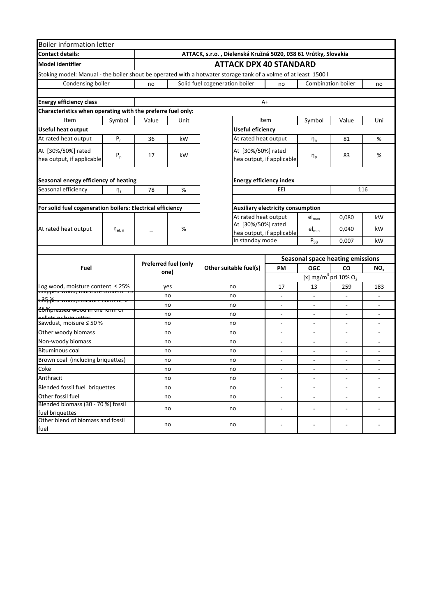| <b>Boiler information letter</b>                                                      |                       |       |                             |                                                                                                                 |                                                                                  |                            |                                         |                          |  |  |
|---------------------------------------------------------------------------------------|-----------------------|-------|-----------------------------|-----------------------------------------------------------------------------------------------------------------|----------------------------------------------------------------------------------|----------------------------|-----------------------------------------|--------------------------|--|--|
| <b>Contact details:</b>                                                               |                       |       |                             | ATTACK, s.r.o., Dielenská Kružná 5020, 038 61 Vrútky, Slovakia                                                  |                                                                                  |                            |                                         |                          |  |  |
| <b>Model identifier</b>                                                               |                       |       |                             | <b>ATTACK DPX 40 STANDARD</b>                                                                                   |                                                                                  |                            |                                         |                          |  |  |
|                                                                                       |                       |       |                             | Stoking model: Manual - the boiler shout be operated with a hotwater storage tank of a volme of at least 1500 l |                                                                                  |                            |                                         |                          |  |  |
| Condensing boiler                                                                     |                       | no    |                             | Solid fuel cogeneration boiler                                                                                  | no                                                                               |                            | <b>Combination boiler</b>               | no                       |  |  |
|                                                                                       |                       |       |                             |                                                                                                                 |                                                                                  |                            |                                         |                          |  |  |
| <b>Energy efficiency class</b>                                                        |                       |       |                             |                                                                                                                 | A+                                                                               |                            |                                         |                          |  |  |
| Characteristics when operating with the preferre fuel only:                           |                       |       |                             |                                                                                                                 |                                                                                  |                            |                                         |                          |  |  |
| Item                                                                                  | Symbol                | Value | Unit                        |                                                                                                                 | Item                                                                             | Symbol                     | Value                                   | Uni                      |  |  |
| <b>Useful heat output</b>                                                             |                       |       |                             | <b>Useful eficiency</b>                                                                                         |                                                                                  |                            |                                         |                          |  |  |
| At rated heat output                                                                  | $P_n$                 | 36    | kW                          | At rated heat output                                                                                            |                                                                                  | $\eta_n$                   | 81                                      | %                        |  |  |
| At [30%/50%] rated<br>hea output, if applicable                                       | $P_p$                 | 17    | kW                          | At [30%/50%] rated<br>hea output, if applicable                                                                 | η <sub>p</sub>                                                                   | 83                         | %                                       |                          |  |  |
|                                                                                       |                       |       |                             |                                                                                                                 |                                                                                  |                            |                                         |                          |  |  |
| Seasonal energy efficiency of heating                                                 |                       |       |                             | <b>Energy efficiency index</b>                                                                                  |                                                                                  |                            |                                         |                          |  |  |
| Seasonal efficiency                                                                   | $\eta_s$              | 78    | %                           |                                                                                                                 | EEI                                                                              |                            |                                         | 116                      |  |  |
|                                                                                       |                       |       |                             |                                                                                                                 |                                                                                  |                            |                                         |                          |  |  |
| For solid fuel cogeneration boilers: Electrical efficiency                            |                       |       |                             |                                                                                                                 | <b>Auxiliary electricity consumption</b>                                         |                            |                                         |                          |  |  |
|                                                                                       |                       |       |                             |                                                                                                                 | At rated heat output                                                             |                            | 0,080                                   | kW                       |  |  |
| At rated heat output                                                                  | $\eta_{\text{el, n}}$ |       | %                           |                                                                                                                 | At [30%/50%] rated<br>hea output, if applicable                                  |                            | 0,040                                   | kW                       |  |  |
|                                                                                       |                       |       |                             | In standby mode                                                                                                 |                                                                                  | $\mathsf{P}_{\mathsf{SB}}$ | 0,007                                   | kW                       |  |  |
|                                                                                       |                       |       |                             |                                                                                                                 |                                                                                  |                            |                                         |                          |  |  |
|                                                                                       |                       |       | <b>Preferred fuel (only</b> |                                                                                                                 |                                                                                  |                            | <b>Seasonal space heating emissions</b> |                          |  |  |
| Fuel                                                                                  |                       |       | one)                        | Other suitable fuel(s)                                                                                          | <b>OGC</b><br><b>PM</b><br>CO<br>[x] mg/m <sup>3</sup> pri $10\%$ O <sub>2</sub> |                            |                                         | NO <sub>x</sub>          |  |  |
|                                                                                       |                       |       |                             |                                                                                                                 |                                                                                  |                            |                                         |                          |  |  |
| Log wood, moisture content $\leq$ 25%<br><del>כו הטופט wood, moisture content נ</del> |                       |       | yes                         | no                                                                                                              | 17                                                                               |                            | 259                                     | 183                      |  |  |
| <del>cಗೊβ័cu woou,moisture content</del>                                              |                       |       | no                          | no                                                                                                              | ä,                                                                               |                            | ä,                                      | $\overline{a}$           |  |  |
| ່ <del>25ກຶໂນ esseu wood in the rorm or</del>                                         |                       |       | no                          | no                                                                                                              | L,                                                                               |                            | ÷,                                      |                          |  |  |
|                                                                                       |                       |       | no                          | no                                                                                                              |                                                                                  |                            |                                         |                          |  |  |
| Sawdust, moisure ≤ 50 %                                                               |                       |       | no                          | no                                                                                                              | ۰                                                                                |                            | $\overline{\phantom{a}}$                |                          |  |  |
| Other woody biomass                                                                   |                       |       | no                          | no                                                                                                              | ٠                                                                                |                            | $\overline{\phantom{a}}$                |                          |  |  |
| Non-woody biomass                                                                     |                       |       | no                          | no                                                                                                              |                                                                                  |                            |                                         |                          |  |  |
| <b>Bituminous coal</b>                                                                |                       |       | no                          | no                                                                                                              |                                                                                  |                            |                                         |                          |  |  |
| Brown coal (including briquettes)                                                     |                       |       | no                          | no                                                                                                              |                                                                                  |                            | ÷,                                      |                          |  |  |
| Coke                                                                                  |                       |       | no                          | no                                                                                                              | $\overline{\phantom{a}}$                                                         | $\blacksquare$             | $\overline{\phantom{a}}$                | $\overline{\phantom{a}}$ |  |  |
| Anthracit                                                                             |                       |       | no                          | no                                                                                                              | $\overline{\phantom{a}}$                                                         | $\overline{\phantom{a}}$   | $\qquad \qquad \blacksquare$            | $\overline{\phantom{a}}$ |  |  |
| Blended fossil fuel briquettes                                                        |                       |       | no                          | no                                                                                                              | $\blacksquare$                                                                   | $\overline{\phantom{a}}$   | $\overline{\phantom{a}}$                | $\overline{\phantom{a}}$ |  |  |
| Other fossil fuel                                                                     |                       |       | no                          | no                                                                                                              | $\overline{\phantom{a}}$                                                         | $\overline{\phantom{a}}$   | $\Box$                                  | $\overline{\phantom{a}}$ |  |  |
| Blended biomass (30 - 70 %) fossil<br>fuel briquettes                                 |                       | no    |                             | no                                                                                                              | L,                                                                               | $\overline{a}$             | $\frac{1}{2}$                           |                          |  |  |
| Other blend of biomass and fossil<br>fuel                                             |                       |       | no                          | no                                                                                                              |                                                                                  | $\overline{\phantom{a}}$   | $\overline{\phantom{a}}$                | ۰                        |  |  |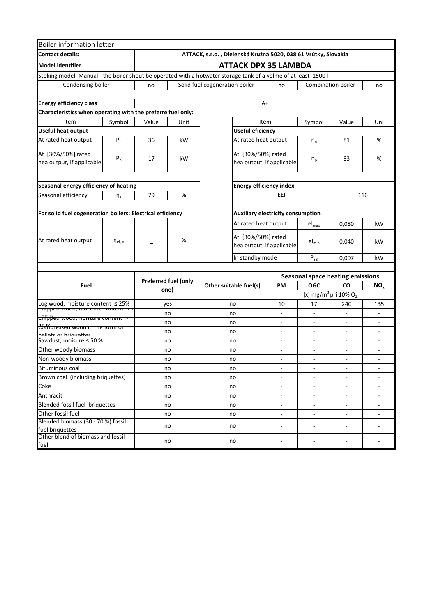| <b>Boiler information letter</b>                                                                                |                |       |                             |                                                                |                                          |                              |                                              |                          |  |  |
|-----------------------------------------------------------------------------------------------------------------|----------------|-------|-----------------------------|----------------------------------------------------------------|------------------------------------------|------------------------------|----------------------------------------------|--------------------------|--|--|
| <b>Contact details:</b>                                                                                         |                |       |                             | ATTACK, s.r.o., Dielenská Kružná 5020, 038 61 Vrútky, Slovakia |                                          |                              |                                              |                          |  |  |
| <b>Model identifier</b>                                                                                         |                |       |                             | <b>ATTACK DPX 35 LAMBDA</b>                                    |                                          |                              |                                              |                          |  |  |
| Stoking model: Manual - the boiler shout be operated with a hotwater storage tank of a volme of at least 1500 l |                |       |                             |                                                                |                                          |                              |                                              |                          |  |  |
| Condensing boiler                                                                                               |                | no    |                             | Solid fuel cogeneration boiler                                 | no                                       |                              | <b>Combination boiler</b>                    | no                       |  |  |
|                                                                                                                 |                |       |                             |                                                                |                                          |                              |                                              |                          |  |  |
| <b>Energy efficiency class</b>                                                                                  |                |       |                             |                                                                | A+                                       |                              |                                              |                          |  |  |
| Characteristics when operating with the preferre fuel only:                                                     |                |       |                             |                                                                |                                          |                              |                                              |                          |  |  |
| Item                                                                                                            | Symbol         | Value | Unit                        |                                                                | Item                                     | Symbol                       | Value                                        | Uni                      |  |  |
| <b>Useful heat output</b>                                                                                       |                |       |                             | <b>Useful eficiency</b>                                        |                                          |                              |                                              |                          |  |  |
| At rated heat output                                                                                            | ${\sf P}_n$    | 36    | kW                          | At rated heat output                                           |                                          | $\eta_n$                     | 81                                           | %                        |  |  |
| At [30%/50%] rated<br>hea output, if applicable                                                                 | $P_p$          | 17    | kW                          | At [30%/50%] rated<br>hea output, if applicable                |                                          | $\eta_{\text{p}}$            | 83                                           | %                        |  |  |
|                                                                                                                 |                |       |                             |                                                                |                                          |                              |                                              |                          |  |  |
| Seasonal energy efficiency of heating                                                                           |                |       |                             |                                                                | <b>Energy efficiency index</b>           |                              |                                              |                          |  |  |
| Seasonal efficiency                                                                                             | $\eta_s$       | 79    | $\%$                        |                                                                | EEI                                      |                              |                                              | 116                      |  |  |
|                                                                                                                 |                |       |                             |                                                                |                                          |                              |                                              |                          |  |  |
| For solid fuel cogeneration boilers: Electrical efficiency                                                      |                |       |                             |                                                                | <b>Auxiliary electricity consumption</b> |                              |                                              |                          |  |  |
|                                                                                                                 |                |       |                             | At rated heat output                                           |                                          | $el_{max}$                   | 0,080                                        | kW                       |  |  |
| At rated heat output                                                                                            | $\eta_{el, n}$ |       | %                           | At [30%/50%] rated                                             | hea output, if applicable                | $\mathsf{el}_{\mathsf{min}}$ | 0,040                                        | kW                       |  |  |
|                                                                                                                 |                |       |                             | In standby mode                                                |                                          | $\mathsf{P}_{\mathsf{SB}}$   | 0,007                                        | kW                       |  |  |
|                                                                                                                 |                |       |                             |                                                                |                                          |                              |                                              |                          |  |  |
|                                                                                                                 |                |       |                             |                                                                |                                          |                              | <b>Seasonal space heating emissions</b>      |                          |  |  |
| Fuel                                                                                                            |                |       | <b>Preferred fuel (only</b> | Other suitable fuel(s)                                         | <b>OGC</b><br>PM                         |                              | CO                                           | NO <sub>x</sub>          |  |  |
|                                                                                                                 |                |       | one)                        |                                                                |                                          |                              | [x] mg/m <sup>3</sup> pri 10% O <sub>2</sub> |                          |  |  |
| Log wood, moisture content $\leq$ 25%                                                                           |                |       | yes                         | no                                                             | 10                                       | 17                           | 240                                          | 135                      |  |  |
| <del>Cimppeu woou, moisture coment 15</del>                                                                     |                |       | no                          | no                                                             | ÷,                                       |                              | $\overline{\phantom{a}}$                     | ä,                       |  |  |
| <mark>. <del>ດີໂັ</del>ກβິ<del>່ນ</del>α wood,moisture content &gt;</mark>                                      |                |       | no                          | no                                                             | $\overline{\phantom{0}}$                 |                              |                                              |                          |  |  |
| 25 Yun esseu wood in the rorm or<br>pollots or briquottos                                                       |                |       | no                          | no                                                             |                                          |                              |                                              |                          |  |  |
| Sawdust, moisure ≤ 50 %                                                                                         |                |       | no                          | no                                                             |                                          |                              | $\frac{1}{2}$                                |                          |  |  |
| Other woody biomass                                                                                             |                |       | no                          | no                                                             |                                          |                              |                                              |                          |  |  |
| Non-woody biomass                                                                                               |                |       | no                          | no                                                             | ÷,                                       | $\overline{\phantom{a}}$     | $\overline{a}$                               | $\overline{\phantom{a}}$ |  |  |
| <b>Bituminous coal</b>                                                                                          |                |       | no                          | no                                                             |                                          |                              |                                              |                          |  |  |
| Brown coal (including briquettes)                                                                               |                |       | no                          | no                                                             | $\overline{\phantom{0}}$                 |                              | $\overline{\phantom{a}}$                     |                          |  |  |
| Coke                                                                                                            |                |       | no                          | no                                                             | $\overline{\phantom{a}}$                 | ۰                            | $\overline{\phantom{a}}$                     |                          |  |  |
| Anthracit                                                                                                       | no             |       |                             | no                                                             | $\blacksquare$                           | $\blacksquare$               | $\overline{\phantom{a}}$                     | $\blacksquare$           |  |  |
| Blended fossil fuel briquettes                                                                                  |                |       | no                          | no                                                             | $\overline{\phantom{a}}$                 | $\overline{\phantom{a}}$     | $\overline{\phantom{a}}$                     | $\overline{\phantom{a}}$ |  |  |
| Other fossil fuel                                                                                               |                |       | no                          | no                                                             | $\overline{\phantom{0}}$                 | $\overline{\phantom{a}}$     | $\blacksquare$                               | $\overline{\phantom{0}}$ |  |  |
| Blended biomass (30 - 70 %) fossil<br>fuel briquettes                                                           |                |       | no                          | no                                                             | ÷.                                       | $\overline{a}$               | $\overline{a}$                               | ÷                        |  |  |
| Other blend of biomass and fossil<br>fuel                                                                       |                | no    |                             | no                                                             | $\overline{\phantom{0}}$                 | $\overline{\phantom{a}}$     | $\overline{a}$                               |                          |  |  |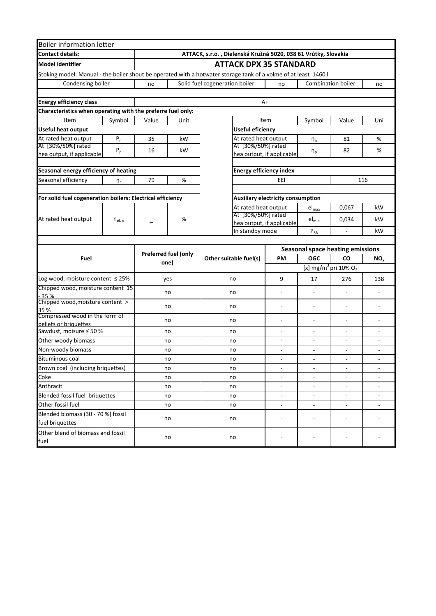| <b>Boiler information letter</b>                            |                       |                      |                                                                |                                                                                                                 |                                          |                              |                                              |                              |  |  |
|-------------------------------------------------------------|-----------------------|----------------------|----------------------------------------------------------------|-----------------------------------------------------------------------------------------------------------------|------------------------------------------|------------------------------|----------------------------------------------|------------------------------|--|--|
| <b>Contact details:</b>                                     |                       |                      | ATTACK, s.r.o., Dielenská Kružná 5020, 038 61 Vrútky, Slovakia |                                                                                                                 |                                          |                              |                                              |                              |  |  |
| <b>Model identifier</b>                                     |                       |                      |                                                                | <b>ATTACK DPX 35 STANDARD</b>                                                                                   |                                          |                              |                                              |                              |  |  |
|                                                             |                       |                      |                                                                | Stoking model: Manual - the boiler shout be operated with a hotwater storage tank of a volme of at least 1460 l |                                          |                              |                                              |                              |  |  |
| Condensing boiler                                           |                       | no                   |                                                                | Solid fuel cogeneration boiler                                                                                  | no                                       |                              | <b>Combination boiler</b>                    | no                           |  |  |
|                                                             |                       |                      |                                                                |                                                                                                                 |                                          |                              |                                              |                              |  |  |
| <b>Energy efficiency class</b>                              |                       |                      |                                                                |                                                                                                                 | $A+$                                     |                              |                                              |                              |  |  |
| Characteristics when operating with the preferre fuel only: |                       |                      |                                                                |                                                                                                                 |                                          |                              |                                              |                              |  |  |
| Item                                                        | Symbol                | Value                | Unit                                                           |                                                                                                                 | Item                                     | Symbol                       | Value                                        | Uni                          |  |  |
| <b>Useful heat output</b>                                   |                       |                      |                                                                | <b>Useful eficiency</b>                                                                                         |                                          |                              |                                              |                              |  |  |
| At rated heat output                                        | $P_n$                 | 35                   | kW                                                             | At rated heat output                                                                                            |                                          | $\eta_n$                     | 81                                           | $\%$                         |  |  |
| At [30%/50%] rated                                          | $P_p$                 | 16                   | kW                                                             | At [30%/50%] rated                                                                                              |                                          | $\eta_{\text{p}}$            | 82                                           | %                            |  |  |
| hea output, if applicable                                   |                       |                      |                                                                |                                                                                                                 | hea output, if applicable                |                              |                                              |                              |  |  |
| Seasonal energy efficiency of heating                       |                       |                      |                                                                | <b>Energy efficiency index</b>                                                                                  |                                          |                              |                                              |                              |  |  |
| Seasonal efficiency                                         | $\eta_s$              | 79                   | $\%$                                                           |                                                                                                                 | 116<br>EEI                               |                              |                                              |                              |  |  |
|                                                             |                       |                      |                                                                |                                                                                                                 |                                          |                              |                                              |                              |  |  |
| For solid fuel cogeneration boilers: Electrical efficiency  |                       |                      |                                                                |                                                                                                                 | <b>Auxiliary electricity consumption</b> |                              |                                              |                              |  |  |
|                                                             |                       |                      |                                                                | At rated heat output                                                                                            |                                          | $el_{max}$                   | 0,067                                        | kW                           |  |  |
|                                                             |                       |                      |                                                                | At [30%/50%] rated                                                                                              |                                          |                              |                                              |                              |  |  |
| At rated heat output                                        | $\eta_{\text{el, n}}$ |                      | %                                                              |                                                                                                                 | hea output, if applicable                | $el_{min}$                   | 0,034                                        | kW                           |  |  |
|                                                             |                       |                      |                                                                | In standby mode                                                                                                 |                                          | $\mathsf{P}_{\mathsf{SB}}$   |                                              | kW                           |  |  |
|                                                             |                       |                      |                                                                |                                                                                                                 |                                          |                              |                                              |                              |  |  |
|                                                             |                       | Preferred fuel (only |                                                                |                                                                                                                 |                                          |                              | <b>Seasonal space heating emissions</b>      |                              |  |  |
| Fuel                                                        |                       | one)                 |                                                                | Other suitable fuel(s)                                                                                          | PM                                       | <b>OGC</b>                   | CO                                           | NO <sub>x</sub>              |  |  |
|                                                             |                       |                      |                                                                |                                                                                                                 |                                          |                              | [x] mg/m <sup>3</sup> pri 10% O <sub>2</sub> |                              |  |  |
| Log wood, moisture content ≤ 25%                            |                       | yes                  |                                                                | no                                                                                                              | 9                                        | 17                           | 276                                          | 138                          |  |  |
| Chipped wood, moisture content 15                           |                       |                      | no                                                             | no                                                                                                              | $\overline{\phantom{0}}$                 |                              |                                              |                              |  |  |
| $-35%$<br>Chipped wood, moisture content >                  |                       |                      |                                                                |                                                                                                                 |                                          |                              |                                              |                              |  |  |
| 35 %                                                        |                       | no                   |                                                                | no                                                                                                              |                                          | $\overline{\phantom{a}}$     |                                              |                              |  |  |
| Compressed wood in the form of                              |                       |                      | no                                                             | no                                                                                                              | ÷                                        |                              |                                              |                              |  |  |
| pellets or briquettes<br>Sawdust, moisure ≤ 50 %            |                       | no                   |                                                                | no                                                                                                              | ÷.                                       |                              |                                              |                              |  |  |
| Other woody biomass                                         |                       | no                   |                                                                | no                                                                                                              |                                          |                              |                                              |                              |  |  |
| Non-woody biomass                                           |                       | no                   |                                                                | no                                                                                                              | $\overline{\phantom{0}}$                 |                              | $\overline{\phantom{a}}$                     | $\overline{a}$               |  |  |
| <b>Bituminous coal</b>                                      |                       | no                   |                                                                | no                                                                                                              | ÷                                        | $\overline{\phantom{a}}$     | $\overline{\phantom{a}}$                     | $\overline{\phantom{a}}$     |  |  |
| Brown coal (including briquettes)                           |                       | no                   |                                                                | no                                                                                                              |                                          |                              | ٠                                            |                              |  |  |
| Coke                                                        |                       | no                   |                                                                | no                                                                                                              | $\overline{\phantom{0}}$                 | $\overline{\phantom{a}}$     | $\overline{\phantom{a}}$                     |                              |  |  |
| Anthracit                                                   |                       | no                   |                                                                | no                                                                                                              | $\overline{\phantom{a}}$                 | $\overline{\phantom{a}}$     | $\overline{\phantom{a}}$                     |                              |  |  |
| Blended fossil fuel briquettes                              |                       |                      | no                                                             | no                                                                                                              | $\blacksquare$                           | $\overline{\phantom{a}}$     | $\overline{\phantom{a}}$                     | $\qquad \qquad \blacksquare$ |  |  |
| Other fossil fuel                                           |                       | no                   |                                                                | no                                                                                                              | $\overline{\phantom{a}}$                 | $\overline{\phantom{a}}$     | $\overline{\phantom{a}}$                     |                              |  |  |
| Blended biomass (30 - 70 %) fossil                          |                       |                      |                                                                |                                                                                                                 |                                          |                              |                                              |                              |  |  |
| fuel briquettes                                             |                       | no                   |                                                                | no                                                                                                              | ÷                                        | $\overline{\phantom{a}}$     |                                              |                              |  |  |
| Other blend of biomass and fossil                           |                       |                      |                                                                |                                                                                                                 |                                          |                              |                                              |                              |  |  |
| fuel                                                        |                       | no                   |                                                                | no                                                                                                              |                                          | $\qquad \qquad \blacksquare$ |                                              |                              |  |  |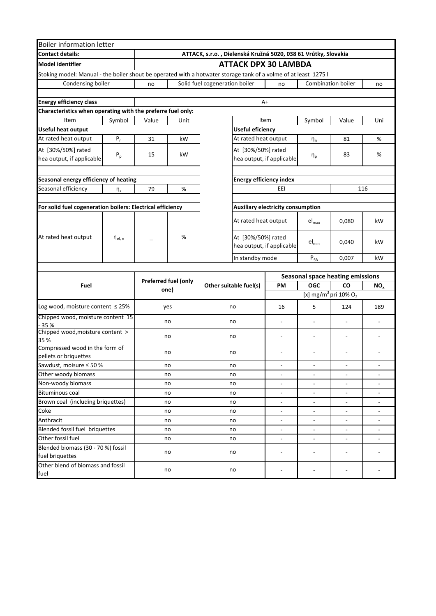| <b>Boiler information letter</b>                                                                                |                         |       |                      |                                                                |                                                 |                          |                                              |                          |  |  |  |
|-----------------------------------------------------------------------------------------------------------------|-------------------------|-------|----------------------|----------------------------------------------------------------|-------------------------------------------------|--------------------------|----------------------------------------------|--------------------------|--|--|--|
| <b>Contact details:</b>                                                                                         |                         |       |                      | ATTACK, s.r.o., Dielenská Kružná 5020, 038 61 Vrútky, Slovakia |                                                 |                          |                                              |                          |  |  |  |
| <b>Model identifier</b>                                                                                         |                         |       |                      | <b>ATTACK DPX 30 LAMBDA</b>                                    |                                                 |                          |                                              |                          |  |  |  |
| Stoking model: Manual - the boiler shout be operated with a hotwater storage tank of a volme of at least 1275 l |                         |       |                      |                                                                |                                                 |                          |                                              |                          |  |  |  |
| Condensing boiler                                                                                               |                         | no    |                      | Solid fuel cogeneration boiler                                 | no                                              |                          | <b>Combination boiler</b>                    | no                       |  |  |  |
|                                                                                                                 |                         |       |                      |                                                                |                                                 |                          |                                              |                          |  |  |  |
| <b>Energy efficiency class</b>                                                                                  |                         |       |                      |                                                                | A+                                              |                          |                                              |                          |  |  |  |
| Characteristics when operating with the preferre fuel only:                                                     |                         |       |                      |                                                                |                                                 |                          |                                              |                          |  |  |  |
| Item                                                                                                            | Symbol                  | Value | Unit                 |                                                                | Item                                            | Symbol                   | Value                                        | Uni                      |  |  |  |
| <b>Useful heat output</b>                                                                                       |                         |       |                      | <b>Useful eficiency</b>                                        |                                                 |                          |                                              |                          |  |  |  |
| At rated heat output                                                                                            | $P_n$                   | 31    | kW                   |                                                                | At rated heat output                            | $\eta_n$                 | 81                                           | $\%$                     |  |  |  |
| At [30%/50%] rated                                                                                              |                         |       |                      |                                                                | At [30%/50%] rated                              |                          |                                              |                          |  |  |  |
| hea output, if applicable                                                                                       | $\mathsf{P}_\mathsf{p}$ | 15    | kW                   |                                                                | hea output, if applicable                       | $\eta_p$                 | 83                                           | %                        |  |  |  |
|                                                                                                                 |                         |       |                      |                                                                |                                                 |                          |                                              |                          |  |  |  |
| Seasonal energy efficiency of heating                                                                           |                         |       |                      |                                                                | <b>Energy efficiency index</b>                  |                          |                                              |                          |  |  |  |
| Seasonal efficiency                                                                                             | $\eta_s$                | 79    | $\%$                 |                                                                | EEI                                             |                          |                                              |                          |  |  |  |
|                                                                                                                 |                         |       |                      | 116                                                            |                                                 |                          |                                              |                          |  |  |  |
| For solid fuel cogeneration boilers: Electrical efficiency                                                      |                         |       |                      |                                                                | Auxiliary electricity consumption               |                          |                                              |                          |  |  |  |
|                                                                                                                 |                         |       |                      |                                                                |                                                 |                          |                                              |                          |  |  |  |
|                                                                                                                 |                         |       |                      |                                                                | At rated heat output                            | $el_{max}$               | 0,080                                        | kW                       |  |  |  |
| At rated heat output                                                                                            | $\eta_{el, n}$          |       | %                    |                                                                | At [30%/50%] rated<br>hea output, if applicable | $el_{min}$               | 0,040                                        | kW                       |  |  |  |
|                                                                                                                 |                         |       |                      | In standby mode                                                |                                                 | $P_{SB}$                 | 0,007                                        | kW                       |  |  |  |
|                                                                                                                 |                         |       |                      |                                                                |                                                 |                          |                                              |                          |  |  |  |
|                                                                                                                 |                         |       | Preferred fuel (only |                                                                |                                                 |                          | <b>Seasonal space heating emissions</b>      |                          |  |  |  |
| Fuel                                                                                                            |                         |       | one)                 | Other suitable fuel(s)                                         | PM                                              | <b>OGC</b>               | CO                                           | NO <sub>x</sub>          |  |  |  |
|                                                                                                                 |                         |       |                      |                                                                |                                                 |                          | [x] mg/m <sup>3</sup> pri 10% O <sub>2</sub> |                          |  |  |  |
| Log wood, moisture content $\leq$ 25%                                                                           |                         |       | yes                  | no                                                             | 16                                              | 5                        | 124                                          | 189                      |  |  |  |
| Chipped wood, moisture content 15                                                                               |                         |       | no                   | no                                                             | ÷,                                              |                          |                                              |                          |  |  |  |
| - 35 %<br>Chipped wood, moisture content >                                                                      |                         |       |                      |                                                                |                                                 |                          |                                              |                          |  |  |  |
| 35 %                                                                                                            |                         |       | no                   | no                                                             | ÷                                               | $\overline{\phantom{a}}$ |                                              |                          |  |  |  |
| Compressed wood in the form of                                                                                  |                         |       | no                   | no                                                             |                                                 |                          |                                              |                          |  |  |  |
| pellets or briquettes                                                                                           |                         |       |                      |                                                                |                                                 |                          |                                              |                          |  |  |  |
| Sawdust, moisure ≤ 50 %                                                                                         |                         |       | no                   | no                                                             |                                                 |                          |                                              |                          |  |  |  |
| Other woody biomass                                                                                             |                         |       | no                   | no                                                             | $\overline{\phantom{0}}$                        | $\overline{\phantom{a}}$ | $\overline{\phantom{a}}$                     | $\overline{\phantom{a}}$ |  |  |  |
| Non-woody biomass                                                                                               |                         |       | no                   | no                                                             | ÷,                                              | $\overline{\phantom{a}}$ | $\overline{\phantom{a}}$                     | ÷,                       |  |  |  |
| <b>Bituminous coal</b>                                                                                          |                         |       | no                   | no                                                             | $\overline{\phantom{0}}$                        |                          | $\overline{a}$                               |                          |  |  |  |
| Brown coal (including briquettes)                                                                               |                         |       | no                   | no                                                             | $\overline{\phantom{0}}$                        |                          | $\blacksquare$                               |                          |  |  |  |
| Coke                                                                                                            |                         |       | no                   | no                                                             | $\overline{\phantom{a}}$                        | $\overline{\phantom{a}}$ | $\overline{\phantom{a}}$                     | $\overline{\phantom{0}}$ |  |  |  |
| Anthracit                                                                                                       |                         |       | no                   | no                                                             | ÷.                                              | $\overline{a}$           | $\overline{\phantom{a}}$                     | ÷.                       |  |  |  |
| Blended fossil fuel briquettes                                                                                  |                         |       | no                   | no                                                             | ÷.                                              | $\overline{a}$           | $\overline{\phantom{a}}$                     | ÷                        |  |  |  |
| Other fossil fuel                                                                                               |                         |       | no                   | no                                                             | $\overline{\phantom{0}}$                        | $\overline{a}$           | $\blacksquare$                               |                          |  |  |  |
| Blended biomass (30 - 70 %) fossil<br>fuel briquettes                                                           |                         |       | no                   | no                                                             |                                                 |                          |                                              |                          |  |  |  |
| Other blend of biomass and fossil<br>fuel                                                                       |                         |       | no                   | no                                                             |                                                 |                          |                                              |                          |  |  |  |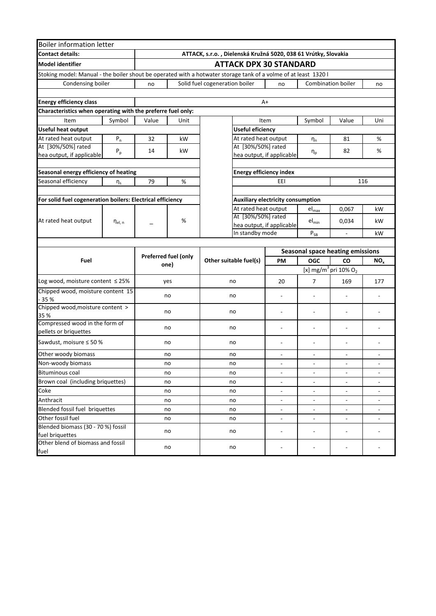| <b>Boiler information letter</b>                                                                                |                |                      |                                                                |                                |                                                 |                                   |                            |                                              |                          |  |  |
|-----------------------------------------------------------------------------------------------------------------|----------------|----------------------|----------------------------------------------------------------|--------------------------------|-------------------------------------------------|-----------------------------------|----------------------------|----------------------------------------------|--------------------------|--|--|
| <b>Contact details:</b>                                                                                         |                |                      | ATTACK, s.r.o., Dielenská Kružná 5020, 038 61 Vrútky, Slovakia |                                |                                                 |                                   |                            |                                              |                          |  |  |
| <b>Model identifier</b>                                                                                         |                |                      |                                                                | <b>ATTACK DPX 30 STANDARD</b>  |                                                 |                                   |                            |                                              |                          |  |  |
| Stoking model: Manual - the boiler shout be operated with a hotwater storage tank of a volme of at least 1320 l |                |                      |                                                                |                                |                                                 |                                   |                            |                                              |                          |  |  |
| Condensing boiler                                                                                               |                | no                   |                                                                | Solid fuel cogeneration boiler |                                                 | no                                |                            | <b>Combination boiler</b>                    | no                       |  |  |
|                                                                                                                 |                |                      |                                                                |                                |                                                 |                                   |                            |                                              |                          |  |  |
| <b>Energy efficiency class</b>                                                                                  |                |                      |                                                                |                                |                                                 | $A+$                              |                            |                                              |                          |  |  |
| Characteristics when operating with the preferre fuel only:                                                     |                |                      |                                                                |                                |                                                 |                                   |                            |                                              |                          |  |  |
| Item                                                                                                            | Symbol         | Value                | Unit                                                           |                                |                                                 | Item                              | Symbol                     | Value                                        | Uni                      |  |  |
| <b>Useful heat output</b>                                                                                       |                |                      |                                                                |                                | <b>Useful eficiency</b>                         |                                   |                            |                                              |                          |  |  |
| At rated heat output                                                                                            | $P_{n}$        | 32                   | kW                                                             |                                |                                                 | At rated heat output              | $\eta_n$                   | 81                                           | %                        |  |  |
| At [30%/50%] rated                                                                                              | $P_p$          | 14                   | kW                                                             |                                |                                                 | At [30%/50%] rated                |                            | 82                                           | %                        |  |  |
| hea output, if applicable                                                                                       |                |                      |                                                                |                                |                                                 | hea output, if applicable         | $\eta_{p}$                 |                                              |                          |  |  |
|                                                                                                                 |                |                      |                                                                |                                |                                                 |                                   |                            |                                              |                          |  |  |
| Seasonal energy efficiency of heating                                                                           |                |                      |                                                                |                                |                                                 | <b>Energy efficiency index</b>    |                            |                                              |                          |  |  |
| Seasonal efficiency                                                                                             | $\eta_s$       | 79                   | %                                                              |                                |                                                 | EEI                               |                            |                                              | 116                      |  |  |
|                                                                                                                 |                |                      |                                                                |                                |                                                 |                                   |                            |                                              |                          |  |  |
| For solid fuel cogeneration boilers: Electrical efficiency                                                      |                |                      |                                                                |                                |                                                 | Auxiliary electricity consumption |                            |                                              |                          |  |  |
|                                                                                                                 |                |                      |                                                                |                                |                                                 | At rated heat output              | $el_{max}$                 | 0,067                                        | kW                       |  |  |
| At rated heat output                                                                                            | $\eta_{el, n}$ |                      | %                                                              |                                | At [30%/50%] rated<br>hea output, if applicable |                                   | $el_{min}$                 | 0,034                                        | kW                       |  |  |
|                                                                                                                 |                |                      |                                                                |                                | In standby mode                                 |                                   | $\mathsf{P}_{\mathsf{SB}}$ | $\blacksquare$                               | kW                       |  |  |
|                                                                                                                 |                |                      |                                                                |                                |                                                 |                                   |                            |                                              |                          |  |  |
|                                                                                                                 |                |                      |                                                                |                                |                                                 |                                   |                            | <b>Seasonal space heating emissions</b>      |                          |  |  |
| Fuel                                                                                                            |                | Preferred fuel (only |                                                                | Other suitable fuel(s)         |                                                 | PM                                | <b>OGC</b>                 | CO                                           | NO <sub>x</sub>          |  |  |
|                                                                                                                 |                |                      | one)                                                           |                                |                                                 |                                   |                            | [x] mg/m <sup>3</sup> pri 10% O <sub>2</sub> |                          |  |  |
| Log wood, moisture content ≤ 25%                                                                                |                |                      | yes                                                            | no                             |                                                 | 20                                | $\overline{7}$             | 169                                          | 177                      |  |  |
| Chipped wood, moisture content 15                                                                               |                |                      |                                                                | no                             |                                                 |                                   |                            |                                              |                          |  |  |
| $-35%$                                                                                                          |                |                      | no                                                             |                                |                                                 | $\overline{\phantom{0}}$          |                            | $\overline{a}$                               |                          |  |  |
| Chipped wood, moisture content >                                                                                |                |                      | no                                                             | no                             |                                                 | ÷,                                |                            |                                              |                          |  |  |
| 35 %<br>Compressed wood in the form of                                                                          |                |                      |                                                                |                                |                                                 |                                   |                            |                                              |                          |  |  |
| pellets or briquettes                                                                                           |                |                      | no                                                             | no                             |                                                 | ÷,                                | ÷,                         | ÷,                                           |                          |  |  |
| Sawdust, moisure ≤ 50 %                                                                                         |                |                      | no                                                             | no                             |                                                 | $\overline{\phantom{0}}$          | $\overline{\phantom{0}}$   | $\overline{a}$                               |                          |  |  |
| Other woody biomass                                                                                             |                |                      | no                                                             | no                             |                                                 | L,                                | $\overline{\phantom{a}}$   |                                              | ۰                        |  |  |
| Non-woody biomass                                                                                               |                |                      | no                                                             | no                             |                                                 | L.                                | ÷.                         |                                              |                          |  |  |
| <b>Bituminous coal</b>                                                                                          |                |                      | no                                                             | no                             |                                                 | $\overline{\phantom{a}}$          | $\blacksquare$             | $\blacksquare$                               | $\overline{\phantom{a}}$ |  |  |
| Brown coal (including briquettes)                                                                               |                |                      | no                                                             | no                             |                                                 | $\overline{\phantom{0}}$          | $\overline{a}$             | $\blacksquare$                               |                          |  |  |
| Coke                                                                                                            |                |                      | no                                                             | no                             |                                                 | $\overline{\phantom{a}}$          | $\overline{\phantom{a}}$   | $\blacksquare$                               | ۰                        |  |  |
| Anthracit                                                                                                       |                |                      | no                                                             | no                             |                                                 | $\overline{\phantom{a}}$          | $\overline{\phantom{a}}$   | $\overline{\phantom{a}}$                     | $\overline{\phantom{0}}$ |  |  |
| Blended fossil fuel briquettes<br>no                                                                            |                |                      | no                                                             |                                | $\overline{\phantom{a}}$                        | $\blacksquare$                    | $\blacksquare$             | $\overline{\phantom{a}}$                     |                          |  |  |
| Other fossil fuel                                                                                               |                |                      | no                                                             | no                             |                                                 | ÷,                                | $\frac{1}{2}$              | $\blacksquare$                               | ÷,                       |  |  |
| Blended biomass (30 - 70 %) fossil                                                                              |                |                      |                                                                |                                |                                                 | $\overline{\phantom{0}}$          | $\overline{\phantom{a}}$   | $\overline{\phantom{a}}$                     | $\overline{\phantom{0}}$ |  |  |
| fuel briquettes                                                                                                 |                | no                   |                                                                | no                             |                                                 |                                   |                            |                                              |                          |  |  |
| Other blend of biomass and fossil                                                                               |                |                      | no                                                             | no                             |                                                 |                                   |                            | ÷,                                           |                          |  |  |
| fuel                                                                                                            |                |                      |                                                                |                                |                                                 |                                   |                            |                                              |                          |  |  |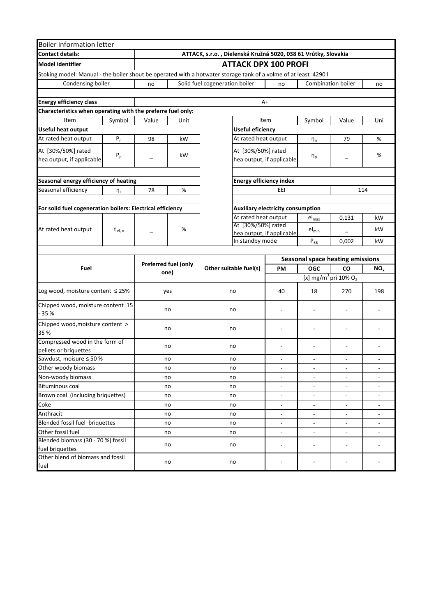| <b>Boiler information letter</b>                                                                                |                       |       |                      |                                                                |                                          |                              |                            |                                              |                          |
|-----------------------------------------------------------------------------------------------------------------|-----------------------|-------|----------------------|----------------------------------------------------------------|------------------------------------------|------------------------------|----------------------------|----------------------------------------------|--------------------------|
| <b>Contact details:</b>                                                                                         |                       |       |                      | ATTACK, s.r.o., Dielenská Kružná 5020, 038 61 Vrútky, Slovakia |                                          |                              |                            |                                              |                          |
| <b>Model identifier</b>                                                                                         |                       |       |                      |                                                                |                                          | <b>ATTACK DPX 100 PROFI</b>  |                            |                                              |                          |
| Stoking model: Manual - the boiler shout be operated with a hotwater storage tank of a volme of at least 4290 l |                       |       |                      |                                                                |                                          |                              |                            |                                              |                          |
| Condensing boiler                                                                                               |                       | no    |                      | Solid fuel cogeneration boiler                                 |                                          | no                           |                            | <b>Combination boiler</b>                    | no                       |
|                                                                                                                 |                       |       |                      |                                                                |                                          |                              |                            |                                              |                          |
| <b>Energy efficiency class</b>                                                                                  |                       |       |                      |                                                                |                                          | A+                           |                            |                                              |                          |
| Characteristics when operating with the preferre fuel only:                                                     |                       |       |                      |                                                                |                                          |                              |                            |                                              |                          |
| Item                                                                                                            | Symbol                | Value | Unit                 |                                                                |                                          | Item                         | Symbol                     | Value                                        | Uni                      |
| <b>Useful heat output</b>                                                                                       |                       |       |                      | <b>Useful eficiency</b>                                        |                                          |                              |                            |                                              |                          |
| At rated heat output                                                                                            | ${\sf P}_n$           | 98    | kW                   |                                                                |                                          | At rated heat output         | $\eta_n$                   | 79                                           | %                        |
| At [30%/50%] rated                                                                                              |                       |       |                      |                                                                |                                          | At [30%/50%] rated           |                            |                                              |                          |
| hea output, if applicable                                                                                       | $P_p$                 |       | kW                   |                                                                |                                          | hea output, if applicable    | $\eta_{\text{p}}$          |                                              | %                        |
|                                                                                                                 |                       |       |                      |                                                                |                                          |                              |                            |                                              |                          |
| Seasonal energy efficiency of heating                                                                           |                       |       |                      |                                                                | <b>Energy efficiency index</b>           |                              |                            |                                              |                          |
| Seasonal efficiency                                                                                             | $\eta_s$              | 78    | %                    |                                                                |                                          | EEI                          |                            |                                              | 114                      |
|                                                                                                                 |                       |       |                      |                                                                |                                          |                              |                            |                                              |                          |
| For solid fuel cogeneration boilers: Electrical efficiency                                                      |                       |       |                      |                                                                | <b>Auxiliary electricity consumption</b> |                              |                            |                                              |                          |
|                                                                                                                 |                       |       |                      |                                                                |                                          | At rated heat output         | $el_{max}$                 | 0,131                                        | kW                       |
| At rated heat output                                                                                            | $\eta_{\text{el, n}}$ |       | %                    |                                                                | At [30%/50%] rated                       |                              | $el_{min}$                 |                                              | kW                       |
|                                                                                                                 |                       |       |                      |                                                                |                                          | hea output, if applicable    |                            |                                              |                          |
|                                                                                                                 |                       |       |                      | In standby mode                                                |                                          |                              | $\mathsf{P}_{\mathsf{SB}}$ | 0,002                                        | kW                       |
|                                                                                                                 |                       |       |                      |                                                                |                                          |                              |                            | <b>Seasonal space heating emissions</b>      |                          |
| Fuel                                                                                                            |                       |       | Preferred fuel (only | Other suitable fuel(s)                                         |                                          | PM                           | <b>OGC</b>                 | CO                                           | NO <sub>x</sub>          |
|                                                                                                                 |                       |       | one)                 |                                                                |                                          |                              |                            | [x] mg/m <sup>3</sup> pri 10% O <sub>2</sub> |                          |
|                                                                                                                 |                       |       |                      |                                                                |                                          |                              |                            |                                              |                          |
| Log wood, moisture content ≤ 25%                                                                                |                       |       | yes                  | no                                                             |                                          | 40                           | 18                         | 270                                          | 198                      |
| Chipped wood, moisture content 15                                                                               |                       |       | no                   | no                                                             |                                          |                              |                            |                                              |                          |
| $-35%$                                                                                                          |                       |       |                      |                                                                |                                          |                              |                            |                                              |                          |
| Chipped wood, moisture content >                                                                                |                       |       | no                   | no                                                             |                                          |                              |                            |                                              |                          |
| 35 %                                                                                                            |                       |       |                      |                                                                |                                          |                              |                            |                                              |                          |
| Compressed wood in the form of                                                                                  |                       |       | no                   | no                                                             |                                          |                              |                            | $\overline{a}$                               |                          |
| pellets or briquettes<br>Sawdust, moisure ≤ 50 %                                                                |                       |       | no                   | no                                                             |                                          |                              |                            |                                              |                          |
| Other woody biomass                                                                                             |                       |       | ПΟ                   | no                                                             |                                          |                              |                            |                                              |                          |
| Non-woody biomass                                                                                               |                       |       | no                   | no                                                             |                                          | $\overline{\phantom{a}}$     | $\sim$                     | $\overline{\phantom{a}}$                     | $\overline{\phantom{a}}$ |
| <b>Bituminous coal</b>                                                                                          |                       |       | no                   | no                                                             |                                          | $\overline{\phantom{a}}$     |                            | $\blacksquare$                               |                          |
| Brown coal (including briquettes)                                                                               |                       |       | no                   | no                                                             |                                          | $\overline{\phantom{a}}$     |                            | $\blacksquare$                               |                          |
| Coke                                                                                                            |                       |       | no                   | no                                                             |                                          | $\frac{1}{2}$                | $\overline{\phantom{a}}$   | $\qquad \qquad \blacksquare$                 | $\blacksquare$           |
| Anthracit                                                                                                       |                       |       | no                   | no                                                             |                                          | $\qquad \qquad \blacksquare$ | $\overline{\phantom{a}}$   | $\blacksquare$                               | $\blacksquare$           |
| Blended fossil fuel briquettes<br>no                                                                            |                       |       |                      | no                                                             |                                          | $\Box$                       | $\overline{\phantom{a}}$   | $\blacksquare$                               | $\overline{\phantom{a}}$ |
| Other fossil fuel                                                                                               |                       |       | no                   | no                                                             |                                          | $\blacksquare$               | $\overline{\phantom{a}}$   | $\blacksquare$                               | $\overline{\phantom{a}}$ |
| Blended biomass (30 - 70 %) fossil                                                                              |                       |       | no                   | no                                                             |                                          | ÷,                           | $\overline{\phantom{a}}$   | $\blacksquare$                               |                          |
| fuel briquettes<br>Other blend of biomass and fossil                                                            |                       |       |                      |                                                                |                                          |                              |                            |                                              |                          |
| fuel                                                                                                            |                       | no    |                      | no                                                             |                                          |                              |                            |                                              |                          |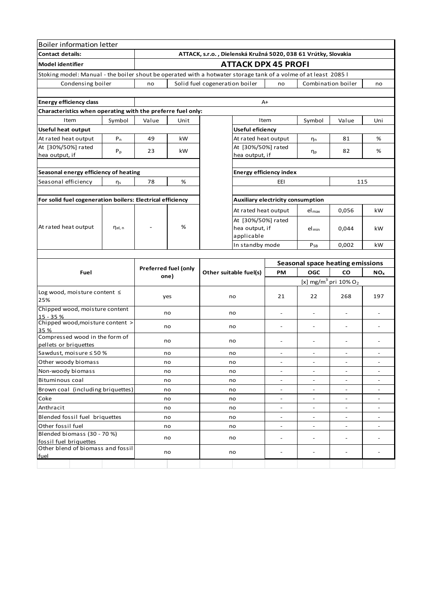| <b>Boiler information letter</b>                                                                                |                    |                      |      |                                                                |                                |                                         |                          |                                                 |                          |
|-----------------------------------------------------------------------------------------------------------------|--------------------|----------------------|------|----------------------------------------------------------------|--------------------------------|-----------------------------------------|--------------------------|-------------------------------------------------|--------------------------|
| <b>Contact details:</b>                                                                                         |                    |                      |      | ATTACK, s.r.o., Dielenská Kružná 5020, 038 61 Vrútky, Slovakia |                                |                                         |                          |                                                 |                          |
| <b>Model identifier</b>                                                                                         |                    |                      |      |                                                                |                                | <b>ATTACK DPX 45 PROFI</b>              |                          |                                                 |                          |
| Stoking model: Manual - the boiler shout be operated with a hotwater storage tank of a volme of at least 2085 l |                    |                      |      |                                                                |                                |                                         |                          |                                                 |                          |
| Condensing boiler                                                                                               |                    | no                   |      | Solid fuel cogeneration boiler                                 |                                | no                                      |                          | Combination boiler                              | no                       |
|                                                                                                                 |                    |                      |      |                                                                |                                |                                         |                          |                                                 |                          |
| <b>Energy efficiency class</b>                                                                                  |                    |                      |      |                                                                |                                | A+                                      |                          |                                                 |                          |
| Characteristics when operating with the preferre fuel only:                                                     |                    |                      |      |                                                                |                                |                                         |                          |                                                 |                          |
| Item                                                                                                            | Symbol             | Value                | Unit |                                                                |                                | Item                                    | Symbol                   | Value                                           | Uni                      |
| Useful heat output                                                                                              |                    |                      |      |                                                                | Useful eficiency               |                                         |                          |                                                 |                          |
| At rated heat output                                                                                            | $P_n$              | 49                   | kW   |                                                                |                                | At rated heat output                    | $\eta_n$                 | 81                                              | %                        |
| At [30%/50%] rated                                                                                              | $P_p$              | 23                   | kW   |                                                                |                                | At [30%/50%] rated                      |                          | 82                                              | %                        |
| hea output, if                                                                                                  |                    |                      |      |                                                                | hea output, if                 |                                         | $\eta_{\text{p}}$        |                                                 |                          |
|                                                                                                                 |                    |                      |      |                                                                |                                |                                         |                          |                                                 |                          |
| Seasonal energy efficiency of heating                                                                           |                    |                      |      |                                                                | <b>Energy efficiency index</b> |                                         |                          |                                                 |                          |
| Seasonal efficiency                                                                                             | $\eta_s$           | 78                   | %    |                                                                |                                | EEI                                     |                          | 115                                             |                          |
|                                                                                                                 |                    |                      |      |                                                                |                                |                                         |                          |                                                 |                          |
| For solid fuel cogeneration boilers: Electrical efficiency                                                      |                    |                      |      |                                                                |                                | Auxiliary electricity consumption       |                          |                                                 |                          |
|                                                                                                                 |                    |                      |      |                                                                |                                | At rated heat output                    | $el_{\text{max}}$        | 0,056                                           | kW                       |
| At rated heat output                                                                                            |                    |                      | %    |                                                                |                                | At [30%/50%] rated                      |                          |                                                 |                          |
|                                                                                                                 | η <sub>el, n</sub> |                      |      |                                                                | hea output, if<br>applicable   |                                         | $el_{min}$               | 0,044                                           | kW                       |
|                                                                                                                 |                    |                      |      |                                                                | In standby mode                |                                         | $P_{SB}$                 | 0,002                                           | kW                       |
|                                                                                                                 |                    |                      |      |                                                                |                                |                                         |                          |                                                 |                          |
|                                                                                                                 |                    |                      |      |                                                                |                                | <b>Seasonal space heating emissions</b> |                          |                                                 |                          |
| Fuel                                                                                                            |                    | Preferred fuel (only |      | Other suitable fuel(s)                                         |                                | PM                                      | <b>OGC</b>               | CO                                              | NO <sub>x</sub>          |
|                                                                                                                 |                    |                      | one) |                                                                |                                |                                         |                          | [x] mg/m <sup>3</sup> pri $10\%$ O <sub>2</sub> |                          |
| Log wood, moisture content $\leq$                                                                               |                    |                      |      |                                                                |                                |                                         |                          |                                                 |                          |
| 25%                                                                                                             |                    |                      | yes  | no                                                             |                                | 21                                      | 22                       | 268                                             | 197                      |
| Chipped wood, moisture content                                                                                  |                    |                      |      |                                                                |                                |                                         |                          |                                                 |                          |
| 15 - 35 %                                                                                                       |                    |                      | no   | no                                                             |                                | $\overline{\phantom{a}}$                | $\overline{\phantom{a}}$ | $\blacksquare$                                  | $\overline{\phantom{a}}$ |
| Chipped wood, moisture content ><br>35 %                                                                        |                    |                      | no   | no                                                             |                                | $\overline{\phantom{a}}$                | $\overline{\phantom{a}}$ | $\overline{\phantom{a}}$                        | $\overline{\phantom{a}}$ |
| Compressed wood in the form of                                                                                  |                    |                      |      |                                                                |                                |                                         |                          |                                                 |                          |
| pellets or briquettes                                                                                           |                    |                      | no   | no                                                             |                                | $\overline{a}$                          | $\overline{\phantom{a}}$ | $\overline{a}$                                  |                          |
| Sawdust, moisure ≤50 %                                                                                          |                    |                      | no   | no                                                             |                                |                                         |                          |                                                 |                          |
| Other woody biomass                                                                                             |                    |                      | no   | no                                                             |                                |                                         |                          |                                                 |                          |
| Non-woody biomass                                                                                               |                    |                      | no   | no                                                             |                                |                                         | $\overline{\phantom{a}}$ |                                                 |                          |
| Bituminous coal                                                                                                 |                    |                      | no   | no                                                             |                                | $\overline{\phantom{a}}$                | $\overline{\phantom{a}}$ |                                                 |                          |
| Brown coal (including briquettes)                                                                               |                    |                      | no   | no                                                             |                                | $\overline{\phantom{a}}$                | $\overline{\phantom{a}}$ |                                                 |                          |
| Coke                                                                                                            |                    |                      | no   | no                                                             |                                | $\overline{\phantom{0}}$                | $\overline{\phantom{a}}$ | $\blacksquare$                                  | $\overline{\phantom{a}}$ |
| Anthracit<br>no                                                                                                 |                    |                      | no   |                                                                | $\overline{a}$                 |                                         | $\blacksquare$           |                                                 |                          |
| Blended fossil fuel briquettes                                                                                  |                    |                      | no   | no                                                             |                                | $\overline{a}$                          |                          | $\blacksquare$                                  |                          |
| Other fossil fuel                                                                                               |                    |                      | no   | no                                                             |                                | $\overline{\phantom{0}}$                | Ξ.                       | $\overline{\phantom{m}}$                        | $\overline{\phantom{a}}$ |
| Blended biomass (30 - 70 %)<br>fossil fuel briquettes                                                           |                    |                      | no   | no                                                             |                                | $\overline{a}$                          | $\overline{\phantom{a}}$ | $\overline{\phantom{a}}$                        | $\overline{\phantom{0}}$ |
| Other blend of biomass and fossil                                                                               |                    |                      | no   | no                                                             |                                |                                         |                          |                                                 |                          |
| fuel                                                                                                            |                    |                      |      |                                                                |                                |                                         |                          |                                                 |                          |
|                                                                                                                 |                    |                      |      |                                                                |                                |                                         |                          |                                                 |                          |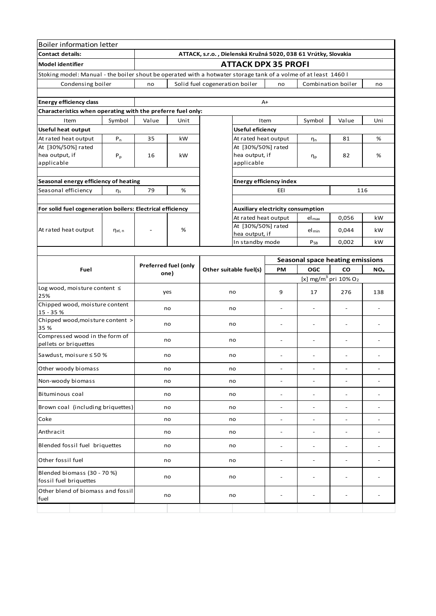| <b>Boiler information letter</b>                                                              |              |                                     |      |                                                                |                                                                                                                 |                                   |                          |                                              |                          |  |  |  |
|-----------------------------------------------------------------------------------------------|--------------|-------------------------------------|------|----------------------------------------------------------------|-----------------------------------------------------------------------------------------------------------------|-----------------------------------|--------------------------|----------------------------------------------|--------------------------|--|--|--|
| <b>Contact details:</b>                                                                       |              |                                     |      | ATTACK, s.r.o., Dielenská Kružná 5020, 038 61 Vrútky, Slovakia |                                                                                                                 |                                   |                          |                                              |                          |  |  |  |
| <b>Model identifier</b>                                                                       |              |                                     |      | <b>ATTACK DPX 35 PROFI</b>                                     |                                                                                                                 |                                   |                          |                                              |                          |  |  |  |
|                                                                                               |              |                                     |      |                                                                | Stoking model: Manual - the boiler shout be operated with a hotwater storage tank of a volme of at least 1460 l |                                   |                          |                                              |                          |  |  |  |
| Condensing boiler                                                                             |              | no                                  |      | Solid fuel cogeneration boiler                                 |                                                                                                                 | no                                |                          | Combination boiler                           | no                       |  |  |  |
|                                                                                               |              |                                     |      |                                                                |                                                                                                                 |                                   |                          |                                              |                          |  |  |  |
| <b>Energy efficiency class</b><br>Characteristics when operating with the preferre fuel only: |              |                                     |      |                                                                |                                                                                                                 | A+                                |                          |                                              |                          |  |  |  |
| Item                                                                                          | Symbol       | Value                               | Unit |                                                                |                                                                                                                 | Item                              | Symbol                   | Value                                        | Uni                      |  |  |  |
| <b>Useful heat output</b>                                                                     |              |                                     |      | <b>Useful eficiency</b>                                        |                                                                                                                 |                                   |                          |                                              |                          |  |  |  |
| At rated heat output                                                                          | $P_n$        | 35                                  | kW   | At rated heat output                                           |                                                                                                                 | $\eta_n$                          |                          | 81                                           | %                        |  |  |  |
| At [30%/50%] rated                                                                            |              |                                     |      |                                                                | At [30%/50%] rated<br>hea output, if<br>applicable                                                              |                                   |                          |                                              |                          |  |  |  |
| hea output, if<br>applicable                                                                  | $P_p$        | 16                                  | kW   |                                                                |                                                                                                                 |                                   | $\eta_{\text{p}}$        | 82                                           | $\%$                     |  |  |  |
|                                                                                               |              |                                     |      |                                                                |                                                                                                                 |                                   |                          |                                              |                          |  |  |  |
| Seasonal energy efficiency of heating                                                         |              |                                     |      |                                                                | <b>Energy efficiency index</b>                                                                                  |                                   |                          |                                              |                          |  |  |  |
| Seasonal efficiency                                                                           | $\eta_s$     | 79                                  | %    |                                                                |                                                                                                                 | EEI                               |                          |                                              | 116                      |  |  |  |
|                                                                                               |              |                                     |      |                                                                |                                                                                                                 |                                   |                          |                                              |                          |  |  |  |
| For solid fuel cogeneration boilers: Electrical efficiency                                    |              |                                     |      |                                                                |                                                                                                                 | Auxiliary electricity consumption |                          |                                              |                          |  |  |  |
|                                                                                               |              |                                     |      |                                                                | At rated heat output                                                                                            |                                   | $el_{\text{max}}$        | 0,056                                        | kW                       |  |  |  |
| At rated heat output                                                                          | $\eta$ el, n |                                     | %    |                                                                | At [30%/50%] rated<br>hea output, if                                                                            |                                   | $el_{min}$               | 0,044                                        | kW                       |  |  |  |
|                                                                                               |              |                                     |      |                                                                | In standby mode                                                                                                 |                                   | $P_{SB}$                 | 0,002                                        | kW                       |  |  |  |
|                                                                                               |              |                                     |      |                                                                |                                                                                                                 |                                   |                          |                                              |                          |  |  |  |
| Fuel                                                                                          |              | <b>Preferred fuel (only</b><br>one) |      |                                                                |                                                                                                                 |                                   |                          | Seasonal space heating emissions             |                          |  |  |  |
|                                                                                               |              |                                     |      | Other suitable fuel(s)                                         |                                                                                                                 | <b>PM</b>                         | <b>OGC</b>               | CO                                           | NO <sub>x</sub>          |  |  |  |
|                                                                                               |              |                                     |      |                                                                |                                                                                                                 |                                   |                          | [x] mg/m <sup>3</sup> pri 10% O <sub>2</sub> |                          |  |  |  |
| Log wood, moisture content ≤<br>25%                                                           |              | yes                                 |      | no                                                             |                                                                                                                 | 9                                 | 17                       | 276                                          | 138                      |  |  |  |
| Chipped wood, moisture content<br>15 - 35 %                                                   |              | no                                  |      | no                                                             |                                                                                                                 | $\overline{a}$                    |                          | $\overline{a}$                               |                          |  |  |  |
| Chipped wood, moisture content ><br>35 %                                                      |              | no                                  |      | no                                                             |                                                                                                                 | $\overline{a}$                    |                          |                                              |                          |  |  |  |
| Compressed wood in the form of<br>pellets or briquettes                                       |              | no                                  |      |                                                                | no                                                                                                              |                                   |                          |                                              |                          |  |  |  |
| Sawdust, moisure ≤ 50 %                                                                       |              | no                                  |      | no                                                             |                                                                                                                 | $\overline{\phantom{a}}$          | $\overline{a}$           | $\qquad \qquad -$                            | $\overline{\phantom{a}}$ |  |  |  |
| Other woody biomass                                                                           |              | no                                  |      | no                                                             |                                                                                                                 | $\overline{a}$                    | $\overline{\phantom{0}}$ | $\qquad \qquad -$                            | $\overline{\phantom{m}}$ |  |  |  |
| Non-woody biomass                                                                             |              | no                                  |      | no                                                             |                                                                                                                 | $\overline{a}$                    | $\overline{a}$           | $\overline{a}$                               | $\overline{a}$           |  |  |  |
| Bituminous coal                                                                               |              | no                                  |      | no                                                             |                                                                                                                 | -                                 | $\overline{\phantom{0}}$ | $\overline{\phantom{a}}$                     | $\overline{a}$           |  |  |  |
| Brown coal (including briquettes)                                                             |              | no                                  |      | no                                                             |                                                                                                                 | $\overline{a}$                    | $\overline{a}$           | $\overline{a}$                               | $\overline{\phantom{a}}$ |  |  |  |
| Coke                                                                                          |              |                                     | no   | no                                                             |                                                                                                                 | $\overline{a}$                    | $\overline{\phantom{0}}$ | $\overline{\phantom{a}}$                     |                          |  |  |  |
| Anthracit                                                                                     |              | no                                  |      | no                                                             |                                                                                                                 | $\overline{a}$                    | $\overline{a}$           | $\qquad \qquad \blacksquare$                 |                          |  |  |  |
| Blended fossil fuel briquettes                                                                |              | no                                  |      | no                                                             |                                                                                                                 | -                                 |                          | $\overline{\phantom{a}}$                     |                          |  |  |  |
| Other fossil fuel                                                                             |              | no                                  |      | no                                                             |                                                                                                                 | -                                 | $\overline{a}$           | $\overline{\phantom{a}}$                     |                          |  |  |  |
| Blended biomass (30 - 70 %)<br>fossil fuel briquettes                                         |              |                                     | no   | no                                                             |                                                                                                                 | $\overline{a}$                    |                          | Ĭ.                                           |                          |  |  |  |
| Other blend of biomass and fossil<br>fuel                                                     |              |                                     | no   | no                                                             |                                                                                                                 |                                   |                          |                                              |                          |  |  |  |
|                                                                                               |              |                                     |      |                                                                |                                                                                                                 |                                   |                          |                                              |                          |  |  |  |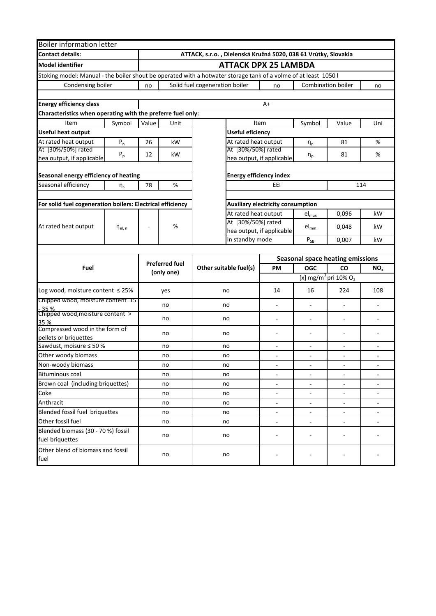| <b>Boiler information letter</b>                                                                                |             |                                            |                                                                |                        |                                |                                              |                           |                                         |                          |  |  |
|-----------------------------------------------------------------------------------------------------------------|-------------|--------------------------------------------|----------------------------------------------------------------|------------------------|--------------------------------|----------------------------------------------|---------------------------|-----------------------------------------|--------------------------|--|--|
| <b>Contact details:</b>                                                                                         |             |                                            | ATTACK, s.r.o., Dielenská Kružná 5020, 038 61 Vrútky, Slovakia |                        |                                |                                              |                           |                                         |                          |  |  |
| <b>Model identifier</b>                                                                                         |             | <b>ATTACK DPX 25 LAMBDA</b>                |                                                                |                        |                                |                                              |                           |                                         |                          |  |  |
| Stoking model: Manual - the boiler shout be operated with a hotwater storage tank of a volme of at least 1050 l |             |                                            |                                                                |                        |                                |                                              |                           |                                         |                          |  |  |
| Condensing boiler                                                                                               |             | Solid fuel cogeneration boiler<br>no<br>no |                                                                |                        |                                |                                              | <b>Combination boiler</b> | no                                      |                          |  |  |
|                                                                                                                 |             |                                            |                                                                |                        |                                |                                              |                           |                                         |                          |  |  |
| <b>Energy efficiency class</b>                                                                                  |             |                                            |                                                                |                        |                                | $A+$                                         |                           |                                         |                          |  |  |
| Characteristics when operating with the preferre fuel only:                                                     |             |                                            |                                                                |                        |                                |                                              |                           |                                         |                          |  |  |
| Item                                                                                                            | Symbol      | Value                                      | Unit                                                           |                        |                                | Item                                         | Symbol                    | Value                                   | Uni                      |  |  |
| Useful heat output                                                                                              |             |                                            |                                                                |                        | <b>Useful eficiency</b>        |                                              |                           |                                         |                          |  |  |
| At rated heat output                                                                                            | $P_n$       | 26                                         | kW                                                             |                        | At rated heat output           |                                              | $\eta_n$                  | 81                                      | %                        |  |  |
| At [30%/50%] rated<br>hea output, if applicable                                                                 | $P_p$       | 12                                         | kW                                                             |                        | At [30%/50%] rated             | hea output, if applicable                    | $\eta_{\text{p}}$         | 81                                      | %                        |  |  |
| Seasonal energy efficiency of heating                                                                           |             |                                            |                                                                |                        | <b>Energy efficiency index</b> |                                              |                           |                                         |                          |  |  |
| Seasonal efficiency                                                                                             | $\eta_s$    | 78                                         | %                                                              |                        |                                | EEI                                          |                           |                                         | 114                      |  |  |
|                                                                                                                 |             |                                            |                                                                |                        |                                |                                              |                           |                                         |                          |  |  |
| For solid fuel cogeneration boilers: Electrical efficiency                                                      |             |                                            |                                                                |                        |                                | <b>Auxiliary electricity consumption</b>     |                           |                                         |                          |  |  |
|                                                                                                                 |             |                                            |                                                                |                        | At rated heat output           |                                              | $el_{max}$                | 0,096                                   | kW                       |  |  |
| At rated heat output                                                                                            | $n_{el, n}$ | $\overline{a}$                             | %                                                              |                        | At [30%/50%] rated             | $el_{min}$<br>hea output, if applicable      |                           | 0,048                                   | kW.                      |  |  |
|                                                                                                                 |             |                                            |                                                                | In standby mode        |                                |                                              | $P_{SB}$                  | 0,007                                   | kW                       |  |  |
|                                                                                                                 |             |                                            |                                                                |                        |                                |                                              |                           |                                         |                          |  |  |
|                                                                                                                 |             |                                            |                                                                |                        |                                |                                              |                           | <b>Seasonal space heating emissions</b> |                          |  |  |
| Fuel                                                                                                            |             |                                            | <b>Preferred fuel</b>                                          | Other suitable fuel(s) |                                | PM                                           | <b>OGC</b>                | CO                                      | NO <sub>x</sub>          |  |  |
|                                                                                                                 |             | (only one)                                 |                                                                |                        |                                | [x] mg/m <sup>3</sup> pri 10% O <sub>2</sub> |                           |                                         |                          |  |  |
| Log wood, moisture content $\leq$ 25%                                                                           |             |                                            | yes                                                            | no                     |                                | 14                                           | 16                        | 224                                     | 108                      |  |  |
| Chipped wood, moisture content 15                                                                               |             | no                                         |                                                                | no                     |                                |                                              | $\overline{\phantom{a}}$  |                                         | $\overline{\phantom{a}}$ |  |  |
| 35 %<br>Chipped wood, moisture content >                                                                        |             |                                            |                                                                |                        |                                |                                              |                           |                                         |                          |  |  |
| 35 %                                                                                                            |             | no                                         |                                                                | no                     |                                |                                              | ÷,                        |                                         |                          |  |  |
| Compressed wood in the form of<br>pellets or briquettes                                                         |             | no                                         |                                                                | no                     |                                | $\overline{\phantom{a}}$                     | $\overline{\phantom{a}}$  | ÷,                                      |                          |  |  |
| Sawdust, moisure ≤ 50 %                                                                                         |             | no                                         |                                                                | no                     |                                | $\overline{\phantom{a}}$                     | ٠                         |                                         |                          |  |  |
| Other woody biomass                                                                                             |             | no                                         |                                                                | no                     |                                |                                              |                           |                                         |                          |  |  |
| Non-woody biomass                                                                                               |             |                                            | no                                                             | no                     |                                |                                              |                           |                                         |                          |  |  |
| <b>Bituminous coal</b>                                                                                          |             |                                            | no                                                             | no                     |                                | $\overline{\phantom{a}}$                     | $\blacksquare$            | $\overline{\phantom{a}}$                | $\overline{\phantom{a}}$ |  |  |
| Brown coal (including briquettes)                                                                               |             |                                            | no                                                             | no                     |                                |                                              |                           |                                         |                          |  |  |
| Coke                                                                                                            |             |                                            | no                                                             | no                     |                                | $\overline{\phantom{a}}$                     | $\overline{\phantom{a}}$  |                                         |                          |  |  |
| Anthracit                                                                                                       |             |                                            | no                                                             | no                     |                                | $\overline{\phantom{a}}$                     | $\sim$                    | $\overline{\phantom{a}}$                |                          |  |  |
| Blended fossil fuel briquettes                                                                                  |             |                                            | no                                                             | no                     |                                | $\frac{1}{2}$                                |                           |                                         |                          |  |  |
| Other fossil fuel                                                                                               |             |                                            | no                                                             | no                     |                                | $\overline{\phantom{a}}$                     | $\overline{\phantom{a}}$  | $\qquad \qquad \blacksquare$            |                          |  |  |
| Blended biomass (30 - 70 %) fossil<br>fuel briquettes                                                           |             |                                            | no                                                             | no                     |                                | ÷,                                           | ä,                        | ÷,                                      |                          |  |  |
| Other blend of biomass and fossil<br>fuel                                                                       |             |                                            | no                                                             | no                     |                                |                                              |                           |                                         |                          |  |  |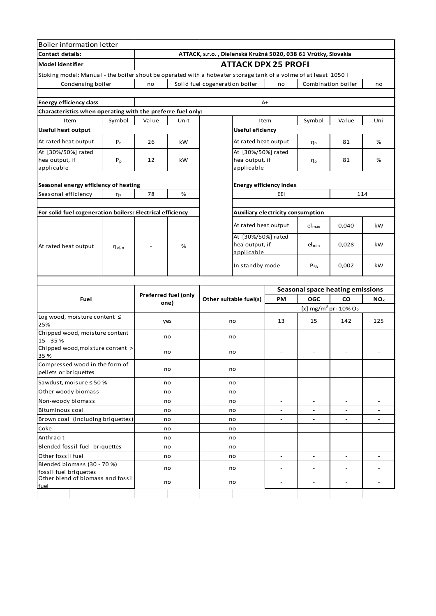| <b>Boiler information letter</b>                                    |                |                                                                                                                 |                            |                                                                |                                                    |                                                 |                                                      |                                            |                              |  |  |  |
|---------------------------------------------------------------------|----------------|-----------------------------------------------------------------------------------------------------------------|----------------------------|----------------------------------------------------------------|----------------------------------------------------|-------------------------------------------------|------------------------------------------------------|--------------------------------------------|------------------------------|--|--|--|
| <b>Contact details:</b>                                             |                |                                                                                                                 |                            | ATTACK, s.r.o., Dielenská Kružná 5020, 038 61 Vrútky, Slovakia |                                                    |                                                 |                                                      |                                            |                              |  |  |  |
| <b>Model identifier</b>                                             |                |                                                                                                                 | <b>ATTACK DPX 25 PROFI</b> |                                                                |                                                    |                                                 |                                                      |                                            |                              |  |  |  |
|                                                                     |                | Stoking model: Manual - the boiler shout be operated with a hotwater storage tank of a volme of at least 1050 l |                            |                                                                |                                                    |                                                 |                                                      |                                            |                              |  |  |  |
| Condensing boiler                                                   |                | no                                                                                                              |                            | Solid fuel cogeneration boiler                                 |                                                    | no                                              |                                                      | Combination boiler                         | no                           |  |  |  |
|                                                                     |                |                                                                                                                 |                            |                                                                |                                                    |                                                 |                                                      |                                            |                              |  |  |  |
| <b>Energy efficiency class</b>                                      |                |                                                                                                                 |                            |                                                                | $A+$                                               |                                                 |                                                      |                                            |                              |  |  |  |
| Characteristics when operating with the preferre fuel only:         |                |                                                                                                                 |                            |                                                                |                                                    |                                                 |                                                      |                                            |                              |  |  |  |
| Item                                                                | Symbol         | Value                                                                                                           | Unit                       |                                                                | Item                                               |                                                 | Symbol                                               | Value                                      | Uni                          |  |  |  |
| <b>Useful heat output</b>                                           |                |                                                                                                                 |                            | Useful eficiency                                               |                                                    |                                                 |                                                      |                                            |                              |  |  |  |
| At rated heat output                                                | $P_n$          | 26                                                                                                              | kW                         |                                                                | At rated heat output                               |                                                 | η <sub>n</sub>                                       | 81                                         | %                            |  |  |  |
| At [30%/50%] rated<br>hea output, if<br>applicable                  | $P_p$          | 12                                                                                                              | kW                         |                                                                | At [30%/50%] rated<br>hea output, if<br>applicable |                                                 | η <sub>p</sub>                                       | 81                                         | %                            |  |  |  |
| Seasonal energy efficiency of heating                               |                |                                                                                                                 |                            |                                                                |                                                    | <b>Energy efficiency index</b>                  |                                                      |                                            |                              |  |  |  |
| Seasonal efficiency                                                 | $\eta_s$       | 78                                                                                                              | %                          |                                                                |                                                    | EEI                                             |                                                      | 114                                        |                              |  |  |  |
|                                                                     |                |                                                                                                                 |                            |                                                                |                                                    |                                                 |                                                      |                                            |                              |  |  |  |
| For solid fuel cogeneration boilers: Electrical efficiency          |                |                                                                                                                 |                            | Auxiliary electricity consumption                              |                                                    |                                                 |                                                      |                                            |                              |  |  |  |
|                                                                     |                |                                                                                                                 |                            |                                                                | At rated heat output                               |                                                 | $el_{\text{max}}$                                    | 0,040                                      | kW                           |  |  |  |
| At rated heat output                                                | $\eta_{el, n}$ |                                                                                                                 | %                          |                                                                | At [30%/50%] rated<br>hea output, if<br>applicable |                                                 | $el_{min}$                                           | 0,028                                      | kW                           |  |  |  |
|                                                                     |                |                                                                                                                 |                            |                                                                | In standby mode                                    |                                                 | $P_{SB}$                                             | 0,002                                      | kW                           |  |  |  |
|                                                                     |                |                                                                                                                 |                            |                                                                |                                                    |                                                 |                                                      |                                            |                              |  |  |  |
|                                                                     |                | <b>Preferred fuel (only</b><br>one)                                                                             |                            |                                                                |                                                    |                                                 |                                                      | Seasonal space heating emissions           |                              |  |  |  |
| Fuel                                                                |                |                                                                                                                 |                            |                                                                | Other suitable fuel(s)                             | PM                                              | OGC                                                  | CO                                         | NO <sub>x</sub>              |  |  |  |
|                                                                     |                |                                                                                                                 |                            |                                                                |                                                    | [x] mg/m <sup>3</sup> pri $10\%$ O <sub>2</sub> |                                                      |                                            |                              |  |  |  |
| Log wood, moisture content ≤<br>25%                                 |                | yes                                                                                                             |                            |                                                                | no                                                 | 13                                              | 15                                                   | 142                                        | 125                          |  |  |  |
| Chipped wood, moisture content<br>15 - 35 %                         |                | no                                                                                                              |                            |                                                                | no                                                 | $\overline{a}$                                  |                                                      | $\overline{a}$                             | $\overline{\phantom{a}}$     |  |  |  |
| Chipped wood, moisture content ><br>35 %                            |                | no                                                                                                              |                            | no                                                             |                                                    | $\qquad \qquad \blacksquare$                    | $\overline{\phantom{a}}$                             | $\overline{a}$                             | $\qquad \qquad \blacksquare$ |  |  |  |
| Compressed wood in the form of<br>pellets or briquettes             |                | no                                                                                                              |                            | no                                                             |                                                    |                                                 | $\overline{\phantom{a}}$                             | $\overline{a}$                             |                              |  |  |  |
| Sawdust, moisure ≤ 50 %                                             |                | no                                                                                                              |                            | no                                                             |                                                    | $\overline{\phantom{a}}$                        | $\overline{\phantom{a}}$                             | $\overline{\phantom{a}}$                   | $\overline{\phantom{a}}$     |  |  |  |
| Other woody biomass                                                 |                | no                                                                                                              |                            | no                                                             |                                                    | $\overline{\phantom{0}}$                        | $\overline{\phantom{a}}$                             | $\overline{a}$                             | $\overline{\phantom{a}}$     |  |  |  |
| Non-woody biomass                                                   |                |                                                                                                                 | no                         | no                                                             |                                                    | $\qquad \qquad \blacksquare$                    | $\overline{\phantom{a}}$                             | $\overline{a}$                             | $\overline{\phantom{a}}$     |  |  |  |
| Bituminous coal                                                     |                | no                                                                                                              |                            | no                                                             |                                                    |                                                 |                                                      | $\overline{a}$                             |                              |  |  |  |
| Brown coal (including briquettes)                                   |                |                                                                                                                 | no                         | no                                                             |                                                    | $\qquad \qquad \blacksquare$                    | $\overline{\phantom{a}}$                             | $\overline{\phantom{a}}$                   | $\overline{\phantom{0}}$     |  |  |  |
| Coke                                                                |                |                                                                                                                 | no                         |                                                                | no                                                 | $\overline{\phantom{a}}$                        | $\overline{\phantom{a}}$                             | $\overline{\phantom{a}}$                   | $\overline{\phantom{a}}$     |  |  |  |
| Anthracit                                                           |                |                                                                                                                 | no                         |                                                                | no                                                 | $\overline{a}$                                  | $\overline{\phantom{a}}$                             | $\overline{\phantom{a}}$                   | $\overline{\phantom{a}}$     |  |  |  |
| Blended fossil fuel briquettes                                      |                |                                                                                                                 | no                         |                                                                | no                                                 | $\overline{a}$                                  | $\overline{\phantom{a}}$                             | $\overline{\phantom{0}}$                   | $\overline{a}$               |  |  |  |
| Other fossil fuel<br>Blended biomass (30 - 70 %)                    |                |                                                                                                                 | no<br>no                   |                                                                | no<br>no                                           | $\blacksquare$<br>$\overline{a}$                | $\overline{\phantom{a}}$<br>$\overline{\phantom{a}}$ | $\overline{\phantom{a}}$<br>$\overline{a}$ | $\overline{\phantom{a}}$     |  |  |  |
| fossil fuel briquettes<br>Other blend of biomass and fossil<br>fuel |                |                                                                                                                 | no                         |                                                                | no                                                 | $\overline{a}$                                  |                                                      | $\overline{a}$                             |                              |  |  |  |
|                                                                     |                |                                                                                                                 |                            |                                                                |                                                    |                                                 |                                                      |                                            |                              |  |  |  |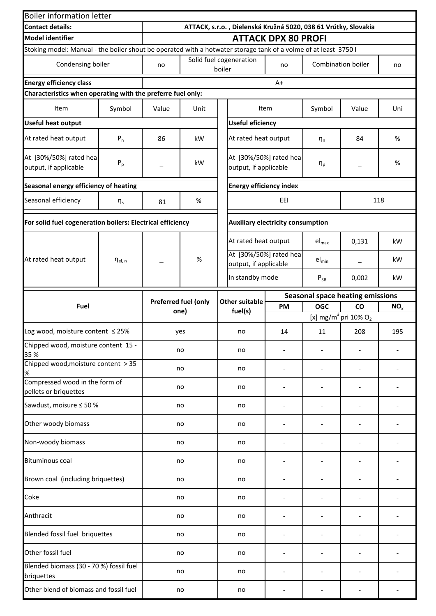| <b>Boiler information letter</b>                                                                                |                       |                              |                                                                |                                   |                                                 |                                          |                                         |                                              |                 |  |  |  |
|-----------------------------------------------------------------------------------------------------------------|-----------------------|------------------------------|----------------------------------------------------------------|-----------------------------------|-------------------------------------------------|------------------------------------------|-----------------------------------------|----------------------------------------------|-----------------|--|--|--|
| <b>Contact details:</b>                                                                                         |                       |                              | ATTACK, s.r.o., Dielenská Kružná 5020, 038 61 Vrútky, Slovakia |                                   |                                                 |                                          |                                         |                                              |                 |  |  |  |
| <b>Model identifier</b>                                                                                         |                       |                              | <b>ATTACK DPX 80 PROFI</b>                                     |                                   |                                                 |                                          |                                         |                                              |                 |  |  |  |
| Stoking model: Manual - the boiler shout be operated with a hotwater storage tank of a volme of at least 3750 l |                       |                              |                                                                |                                   |                                                 |                                          |                                         |                                              |                 |  |  |  |
| Condensing boiler                                                                                               |                       | no                           |                                                                | Solid fuel cogeneration<br>boiler |                                                 | no                                       | Combination boiler                      |                                              | no              |  |  |  |
| <b>Energy efficiency class</b>                                                                                  |                       |                              |                                                                |                                   |                                                 | $A+$                                     |                                         |                                              |                 |  |  |  |
| Characteristics when operating with the preferre fuel only:                                                     |                       |                              |                                                                |                                   |                                                 |                                          |                                         |                                              |                 |  |  |  |
| Item                                                                                                            | Symbol                | Value<br>Unit                |                                                                |                                   |                                                 | Item                                     | Symbol                                  | Value                                        | Uni             |  |  |  |
| <b>Useful heat output</b>                                                                                       |                       |                              |                                                                | <b>Useful eficiency</b>           |                                                 |                                          |                                         |                                              |                 |  |  |  |
| At rated heat output                                                                                            | $P_n$                 | 86                           | kW                                                             |                                   | At rated heat output                            |                                          | $n_{n}$                                 | 84                                           | %               |  |  |  |
| At [30%/50%] rated hea<br>output, if applicable                                                                 | $P_p$                 |                              | kW                                                             |                                   | At [30%/50%] rated hea<br>output, if applicable |                                          | $\eta_p$                                |                                              | %               |  |  |  |
| Seasonal energy efficiency of heating                                                                           |                       |                              |                                                                |                                   | <b>Energy efficiency index</b>                  |                                          |                                         |                                              |                 |  |  |  |
| Seasonal efficiency                                                                                             | $\eta_s$              | 81                           | $\%$                                                           |                                   |                                                 | EEI                                      | 118                                     |                                              |                 |  |  |  |
| For solid fuel cogeneration boilers: Electrical efficiency                                                      |                       |                              |                                                                |                                   |                                                 | <b>Auxiliary electricity consumption</b> |                                         |                                              |                 |  |  |  |
|                                                                                                                 |                       |                              |                                                                |                                   | At rated heat output                            |                                          | $el_{max}$                              | 0,131                                        | kW              |  |  |  |
| At rated heat output                                                                                            | $\eta_{\text{el, n}}$ |                              | %                                                              |                                   | output, if applicable                           | At [30%/50%] rated hea                   | $el_{min}$                              |                                              | kW              |  |  |  |
|                                                                                                                 |                       |                              |                                                                |                                   | In standby mode                                 |                                          | $P_{SB}$                                | 0,002                                        | kW              |  |  |  |
| Fuel                                                                                                            |                       | Preferred fuel (only<br>one) |                                                                |                                   | <b>Other suitable</b>                           |                                          | <b>Seasonal space heating emissions</b> |                                              |                 |  |  |  |
|                                                                                                                 |                       |                              |                                                                |                                   | fuel(s)                                         | <b>PM</b>                                | <b>OGC</b>                              | CO                                           | NO <sub>x</sub> |  |  |  |
|                                                                                                                 |                       |                              |                                                                |                                   |                                                 |                                          |                                         | [x] mg/m <sup>3</sup> pri 10% O <sub>2</sub> |                 |  |  |  |
| Log wood, moisture content $\leq$ 25%                                                                           |                       | yes                          |                                                                |                                   | no                                              | 14                                       | 11                                      | 208                                          | 195             |  |  |  |
| Chipped wood, moisture content 15 -<br>35 %<br>Chipped wood, moisture content > 35                              |                       | no                           |                                                                |                                   | no                                              |                                          |                                         |                                              |                 |  |  |  |
| $\%$                                                                                                            |                       | no                           |                                                                |                                   | no                                              |                                          |                                         |                                              |                 |  |  |  |
| Compressed wood in the form of<br>pellets or briquettes                                                         |                       | no                           |                                                                |                                   | no                                              |                                          |                                         |                                              |                 |  |  |  |
| Sawdust, moisure ≤ 50 %                                                                                         |                       | no                           |                                                                |                                   | no                                              |                                          |                                         |                                              |                 |  |  |  |
| Other woody biomass                                                                                             |                       | no                           |                                                                |                                   | no                                              |                                          |                                         |                                              |                 |  |  |  |
| Non-woody biomass                                                                                               |                       | no                           |                                                                |                                   | no                                              |                                          |                                         |                                              |                 |  |  |  |
| <b>Bituminous coal</b>                                                                                          |                       | no                           |                                                                |                                   | no                                              |                                          | $\qquad \qquad \blacksquare$            |                                              |                 |  |  |  |
| Brown coal (including briquettes)                                                                               |                       |                              | no                                                             |                                   | no                                              |                                          |                                         |                                              |                 |  |  |  |
| Coke                                                                                                            |                       |                              | no                                                             |                                   | no                                              |                                          |                                         |                                              |                 |  |  |  |
| Anthracit                                                                                                       |                       |                              | no                                                             |                                   | no                                              |                                          |                                         |                                              |                 |  |  |  |
| Blended fossil fuel briquettes                                                                                  |                       |                              | no                                                             |                                   | no                                              |                                          |                                         |                                              |                 |  |  |  |
| Other fossil fuel                                                                                               |                       |                              | no                                                             |                                   | no                                              |                                          |                                         |                                              |                 |  |  |  |
| Blended biomass (30 - 70 %) fossil fuel<br>briquettes                                                           |                       |                              | no                                                             |                                   | no                                              |                                          |                                         |                                              |                 |  |  |  |
| Other blend of biomass and fossil fuel                                                                          |                       | no                           |                                                                |                                   | no                                              |                                          |                                         |                                              |                 |  |  |  |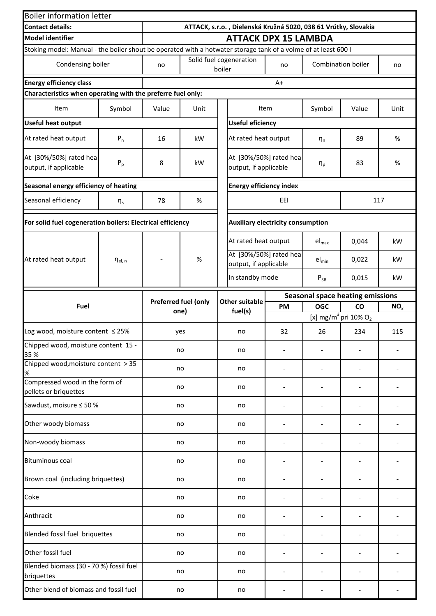| <b>Boiler information letter</b>                            |                       |                             |                                                                |                                   |                                                                                                                |                                          |                    |                                              |                 |  |  |
|-------------------------------------------------------------|-----------------------|-----------------------------|----------------------------------------------------------------|-----------------------------------|----------------------------------------------------------------------------------------------------------------|------------------------------------------|--------------------|----------------------------------------------|-----------------|--|--|
| <b>Contact details:</b>                                     |                       |                             | ATTACK, s.r.o., Dielenská Kružná 5020, 038 61 Vrútky, Slovakia |                                   |                                                                                                                |                                          |                    |                                              |                 |  |  |
| <b>Model identifier</b>                                     |                       | <b>ATTACK DPX 15 LAMBDA</b> |                                                                |                                   |                                                                                                                |                                          |                    |                                              |                 |  |  |
|                                                             |                       |                             |                                                                |                                   | Stoking model: Manual - the boiler shout be operated with a hotwater storage tank of a volme of at least 600 l |                                          |                    |                                              |                 |  |  |
| Condensing boiler                                           |                       | no                          |                                                                | Solid fuel cogeneration<br>boiler |                                                                                                                | no                                       | Combination boiler |                                              | no              |  |  |
| <b>Energy efficiency class</b>                              |                       |                             |                                                                |                                   |                                                                                                                | $A+$                                     |                    |                                              |                 |  |  |
| Characteristics when operating with the preferre fuel only: |                       |                             |                                                                |                                   |                                                                                                                |                                          |                    |                                              |                 |  |  |
| Item                                                        | Symbol                | Value                       | Unit                                                           |                                   |                                                                                                                | Item                                     | Symbol             | Value                                        | Unit            |  |  |
| <b>Useful heat output</b>                                   |                       |                             |                                                                | <b>Useful eficiency</b>           |                                                                                                                |                                          |                    |                                              |                 |  |  |
| At rated heat output                                        | $P_n$                 | 16                          | kW                                                             |                                   | At rated heat output                                                                                           |                                          | $\eta_n$           | 89                                           | %               |  |  |
| At [30%/50%] rated hea<br>output, if applicable             | $P_p$                 | 8                           | kW                                                             |                                   | At [30%/50%] rated hea<br>output, if applicable                                                                |                                          | $\eta_p$           | 83                                           | %               |  |  |
| Seasonal energy efficiency of heating                       |                       |                             |                                                                |                                   | <b>Energy efficiency index</b>                                                                                 |                                          |                    |                                              |                 |  |  |
| Seasonal efficiency                                         | $\eta_{s}$            | 78                          | $\%$                                                           | EEI                               |                                                                                                                |                                          | 117                |                                              |                 |  |  |
| For solid fuel cogeneration boilers: Electrical efficiency  |                       |                             |                                                                |                                   |                                                                                                                | <b>Auxiliary electricity consumption</b> |                    |                                              |                 |  |  |
|                                                             |                       |                             |                                                                |                                   | At rated heat output                                                                                           |                                          | $el_{max}$         | 0,044                                        | kW              |  |  |
| At rated heat output                                        | $\eta_{\text{el, n}}$ |                             | $\%$                                                           |                                   | At [30%/50%] rated hea<br>output, if applicable                                                                |                                          | $el_{min}$         | 0,022                                        | kW              |  |  |
|                                                             |                       |                             |                                                                |                                   | In standby mode                                                                                                |                                          | $P_{SB}$           | 0,015                                        | kW              |  |  |
|                                                             |                       | Preferred fuel (only        |                                                                |                                   | <b>Other suitable</b>                                                                                          |                                          |                    | <b>Seasonal space heating emissions</b>      |                 |  |  |
| Fuel                                                        |                       |                             | one)                                                           |                                   | fuel(s)                                                                                                        | <b>PM</b>                                | <b>OGC</b>         | <b>CO</b>                                    | NO <sub>x</sub> |  |  |
|                                                             |                       |                             |                                                                |                                   |                                                                                                                |                                          |                    | [x] mg/m <sup>3</sup> pri 10% O <sub>2</sub> |                 |  |  |
| Log wood, moisture content ≤ 25%                            |                       | yes                         |                                                                |                                   | no                                                                                                             | 32                                       | 26                 | 234                                          | 115             |  |  |
| Chipped wood, moisture content 15 -<br>35 %                 |                       | no                          |                                                                |                                   | no                                                                                                             |                                          |                    |                                              |                 |  |  |
| Chipped wood, moisture content > 35<br>$\%$                 |                       | no                          |                                                                |                                   | no                                                                                                             |                                          |                    |                                              |                 |  |  |
| Compressed wood in the form of<br>pellets or briquettes     |                       | no                          |                                                                |                                   | no                                                                                                             |                                          |                    |                                              |                 |  |  |
| Sawdust, moisure ≤ 50 %                                     |                       | no                          |                                                                |                                   | no                                                                                                             |                                          |                    |                                              |                 |  |  |
| Other woody biomass                                         |                       | no                          |                                                                |                                   | no                                                                                                             |                                          |                    |                                              |                 |  |  |
| Non-woody biomass                                           |                       | no                          |                                                                |                                   | no                                                                                                             |                                          |                    |                                              |                 |  |  |
| <b>Bituminous coal</b>                                      |                       | no                          |                                                                |                                   | no                                                                                                             |                                          |                    |                                              |                 |  |  |
| Brown coal (including briquettes)                           |                       |                             | no                                                             |                                   | no                                                                                                             |                                          |                    |                                              |                 |  |  |
| Coke                                                        |                       |                             | no                                                             |                                   | no                                                                                                             |                                          |                    |                                              |                 |  |  |
| Anthracit                                                   |                       |                             | no                                                             |                                   | no                                                                                                             |                                          |                    |                                              |                 |  |  |
| Blended fossil fuel briquettes                              |                       |                             | no                                                             |                                   | no                                                                                                             |                                          |                    |                                              |                 |  |  |
| Other fossil fuel                                           |                       |                             | no                                                             |                                   | no                                                                                                             |                                          |                    |                                              |                 |  |  |
| Blended biomass (30 - 70 %) fossil fuel<br>briquettes       |                       |                             | no                                                             |                                   | no                                                                                                             |                                          |                    |                                              |                 |  |  |
| Other blend of biomass and fossil fuel                      |                       | no                          |                                                                |                                   | no                                                                                                             |                                          |                    |                                              |                 |  |  |